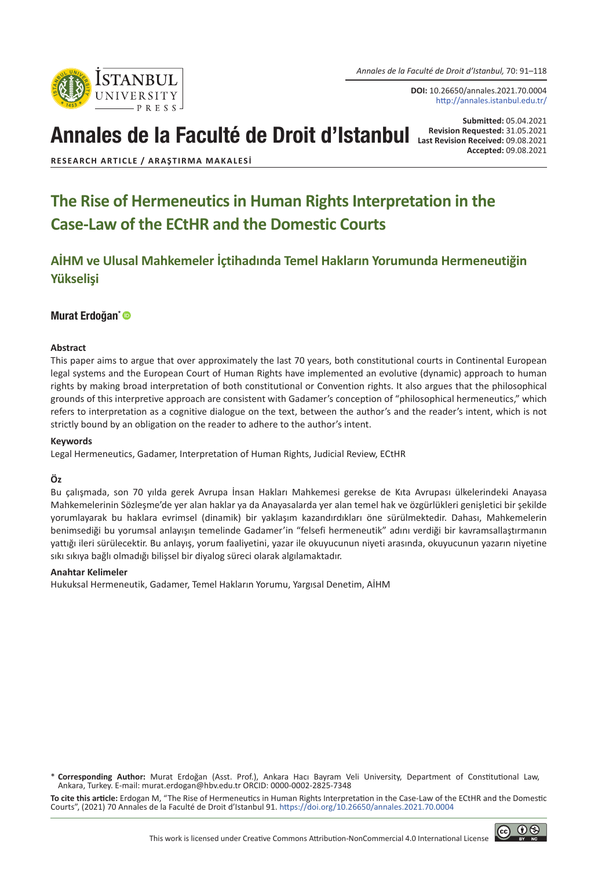*Annales de la Faculté de Droit d'Istanbul,* 70: 91–118

**DOI:** 10.26650/annales.2021.70.0004 http://annales.istanbul.edu.tr/

# Annales de la Faculté de Droit d'Istanbul **Last Requested: 31.05.2021**

**Submitted:** 05.04.2021 **Accepted:** 09.08.2021

**RESEARCH ARTICLE / ARAŞTIRMA MAKALESI**

Istanbul **UNIVERSITY** 

# **The Rise of Hermeneutics in Human Rights Interpretation in the Case-Law of the ECtHR and the Domestic Courts**

**AİHM ve Ulusal Mahkemeler İçtihadında Temel Hakların Yorumunda Hermeneutiğin Yükselişi**

#### Murat Erdoğan\*<sup>®</sup>

#### **Abstract**

This paper aims to argue that over approximately the last 70 years, both constitutional courts in Continental European legal systems and the European Court of Human Rights have implemented an evolutive (dynamic) approach to human rights by making broad interpretation of both constitutional or Convention rights. It also argues that the philosophical grounds of this interpretive approach are consistent with Gadamer's conception of "philosophical hermeneutics," which refers to interpretation as a cognitive dialogue on the text, between the author's and the reader's intent, which is not strictly bound by an obligation on the reader to adhere to the author's intent.

#### **Keywords**

Legal Hermeneutics, Gadamer, Interpretation of Human Rights, Judicial Review, ECtHR

#### **Öz**

Bu çalışmada, son 70 yılda gerek Avrupa İnsan Hakları Mahkemesi gerekse de Kıta Avrupası ülkelerindeki Anayasa Mahkemelerinin Sözleşme'de yer alan haklar ya da Anayasalarda yer alan temel hak ve özgürlükleri genişletici bir şekilde yorumlayarak bu haklara evrimsel (dinamik) bir yaklaşım kazandırdıkları öne sürülmektedir. Dahası, Mahkemelerin benimsediği bu yorumsal anlayışın temelinde Gadamer'in "felsefi hermeneutik" adını verdiği bir kavramsallaştırmanın yattığı ileri sürülecektir. Bu anlayış, yorum faaliyetini, yazar ile okuyucunun niyeti arasında, okuyucunun yazarın niyetine sıkı sıkıya bağlı olmadığı bilişsel bir diyalog süreci olarak algılamaktadır.

#### **Anahtar Kelimeler**

Hukuksal Hermeneutik, Gadamer, Temel Hakların Yorumu, Yargısal Denetim, AİHM

**To cite this article:** Erdogan M, "The Rise of Hermeneutics in Human Rights Interpretation in the Case-Law of the ECtHR and the Domestic Courts", (2021) 70 Annales de la Faculté de Droit d'Istanbul 91. [https://doi.org/10.26650/annales.2021.70.00](https://doi.org/10.26650/annales.2020.70.0000)04

<sup>\*</sup> **Corresponding Author:** Murat Erdoğan (Asst. Prof.), Ankara Hacı Bayram Veli University, Department of Constitutional Law, Ankara, Turkey. E-mail: murat.erdogan@hbv.edu.tr ORCID: 0000-0002-2825-7348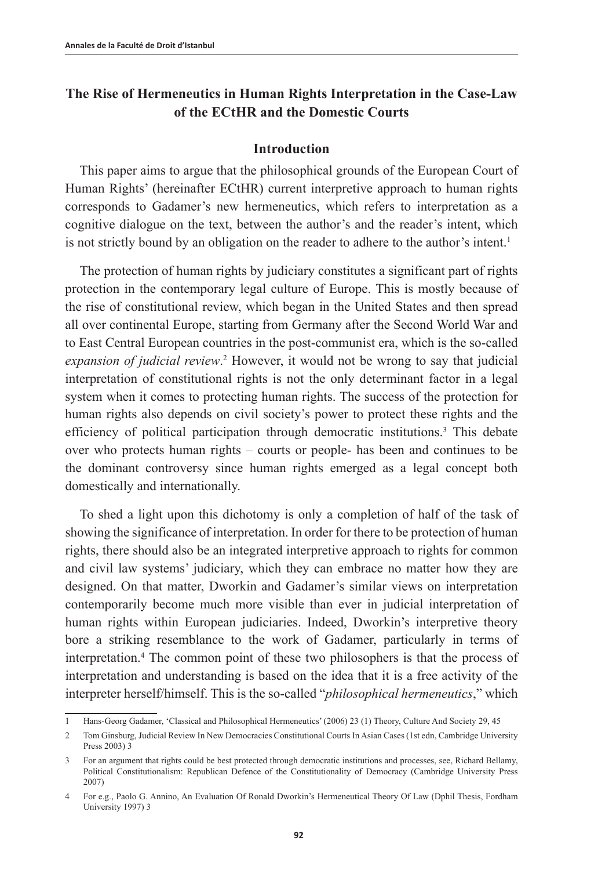# **The Rise of Hermeneutics in Human Rights Interpretation in the Case-Law of the ECtHR and the Domestic Courts**

### **Introduction**

This paper aims to argue that the philosophical grounds of the European Court of Human Rights' (hereinafter ECtHR) current interpretive approach to human rights corresponds to Gadamer's new hermeneutics, which refers to interpretation as a cognitive dialogue on the text, between the author's and the reader's intent, which is not strictly bound by an obligation on the reader to adhere to the author's intent.<sup>1</sup>

The protection of human rights by judiciary constitutes a significant part of rights protection in the contemporary legal culture of Europe. This is mostly because of the rise of constitutional review, which began in the United States and then spread all over continental Europe, starting from Germany after the Second World War and to East Central European countries in the post-communist era, which is the so-called *expansion of judicial review*. <sup>2</sup> However, it would not be wrong to say that judicial interpretation of constitutional rights is not the only determinant factor in a legal system when it comes to protecting human rights. The success of the protection for human rights also depends on civil society's power to protect these rights and the efficiency of political participation through democratic institutions.3 This debate over who protects human rights – courts or people- has been and continues to be the dominant controversy since human rights emerged as a legal concept both domestically and internationally.

To shed a light upon this dichotomy is only a completion of half of the task of showing the significance of interpretation. In order for there to be protection of human rights, there should also be an integrated interpretive approach to rights for common and civil law systems' judiciary, which they can embrace no matter how they are designed. On that matter, Dworkin and Gadamer's similar views on interpretation contemporarily become much more visible than ever in judicial interpretation of human rights within European judiciaries. Indeed, Dworkin's interpretive theory bore a striking resemblance to the work of Gadamer, particularly in terms of interpretation.4 The common point of these two philosophers is that the process of interpretation and understanding is based on the idea that it is a free activity of the interpreter herself/himself. This is the so-called "*philosophical hermeneutics*," which

<sup>1</sup> Hans-Georg Gadamer, 'Classical and Philosophical Hermeneutics' (2006) 23 (1) Theory, Culture And Society 29, 45

<sup>2</sup> Tom Ginsburg, Judicial Review In New Democracies Constitutional Courts In Asian Cases (1st edn, Cambridge University Press 2003) 3

<sup>3</sup> For an argument that rights could be best protected through democratic institutions and processes, see, Richard Bellamy, Political Constitutionalism: Republican Defence of the Constitutionality of Democracy (Cambridge University Press 2007)

<sup>4</sup> For e.g., Paolo G. Annino, An Evaluation Of Ronald Dworkin's Hermeneutical Theory Of Law (Dphil Thesis, Fordham University 1997) 3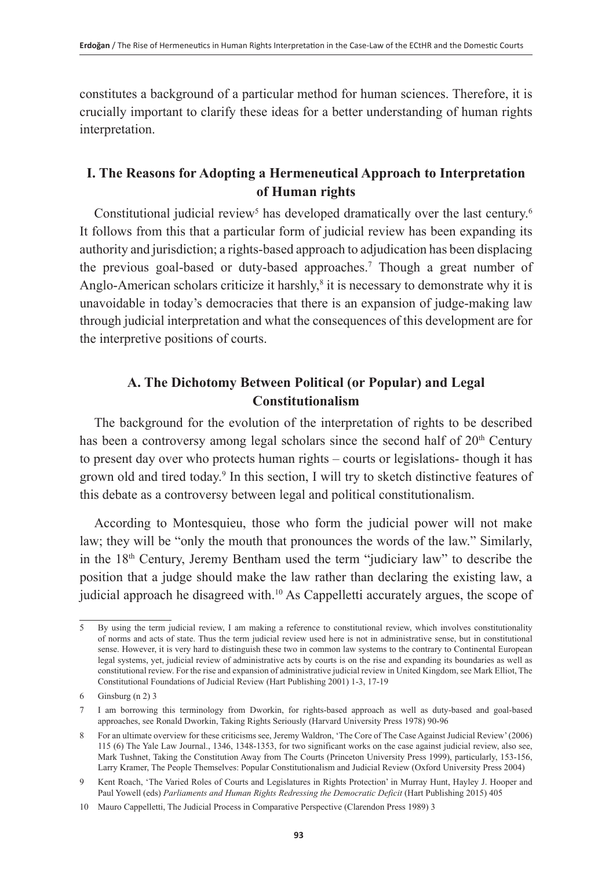constitutes a background of a particular method for human sciences. Therefore, it is crucially important to clarify these ideas for a better understanding of human rights interpretation.

## **I. The Reasons for Adopting a Hermeneutical Approach to Interpretation of Human rights**

Constitutional judicial review<sup>5</sup> has developed dramatically over the last century.<sup>6</sup> It follows from this that a particular form of judicial review has been expanding its authority and jurisdiction; a rights-based approach to adjudication has been displacing the previous goal-based or duty-based approaches.<sup>7</sup> Though a great number of Anglo-American scholars criticize it harshly, $<sup>8</sup>$  it is necessary to demonstrate why it is</sup> unavoidable in today's democracies that there is an expansion of judge-making law through judicial interpretation and what the consequences of this development are for the interpretive positions of courts.

# **A. The Dichotomy Between Political (or Popular) and Legal Constitutionalism**

The background for the evolution of the interpretation of rights to be described has been a controversy among legal scholars since the second half of 20<sup>th</sup> Century to present day over who protects human rights – courts or legislations- though it has grown old and tired today.<sup>9</sup> In this section, I will try to sketch distinctive features of this debate as a controversy between legal and political constitutionalism.

According to Montesquieu, those who form the judicial power will not make law; they will be "only the mouth that pronounces the words of the law." Similarly, in the 18th Century, Jeremy Bentham used the term "judiciary law" to describe the position that a judge should make the law rather than declaring the existing law, a judicial approach he disagreed with.10 As Cappelletti accurately argues, the scope of

<sup>5</sup> By using the term judicial review, I am making a reference to constitutional review, which involves constitutionality of norms and acts of state. Thus the term judicial review used here is not in administrative sense, but in constitutional sense. However, it is very hard to distinguish these two in common law systems to the contrary to Continental European legal systems, yet, judicial review of administrative acts by courts is on the rise and expanding its boundaries as well as constitutional review. For the rise and expansion of administrative judicial review in United Kingdom, see Mark Elliot, The Constitutional Foundations of Judicial Review (Hart Publishing 2001) 1-3, 17-19

<sup>6</sup> Ginsburg (n 2) 3

<sup>7</sup> I am borrowing this terminology from Dworkin, for rights-based approach as well as duty-based and goal-based approaches, see Ronald Dworkin, Taking Rights Seriously (Harvard University Press 1978) 90-96

<sup>8</sup> For an ultimate overview for these criticisms see, Jeremy Waldron, 'The Core of The Case Against Judicial Review' (2006) 115 (6) The Yale Law Journal., 1346, 1348-1353, for two significant works on the case against judicial review, also see, Mark Tushnet, Taking the Constitution Away from The Courts (Princeton University Press 1999), particularly, 153-156, Larry Kramer, The People Themselves: Popular Constitutionalism and Judicial Review (Oxford University Press 2004)

<sup>9</sup> Kent Roach, 'The Varied Roles of Courts and Legislatures in Rights Protection' in Murray Hunt, Hayley J. Hooper and Paul Yowell (eds) *Parliaments and Human Rights Redressing the Democratic Deficit* (Hart Publishing 2015) 405

<sup>10</sup> Mauro Cappelletti, The Judicial Process in Comparative Perspective (Clarendon Press 1989) 3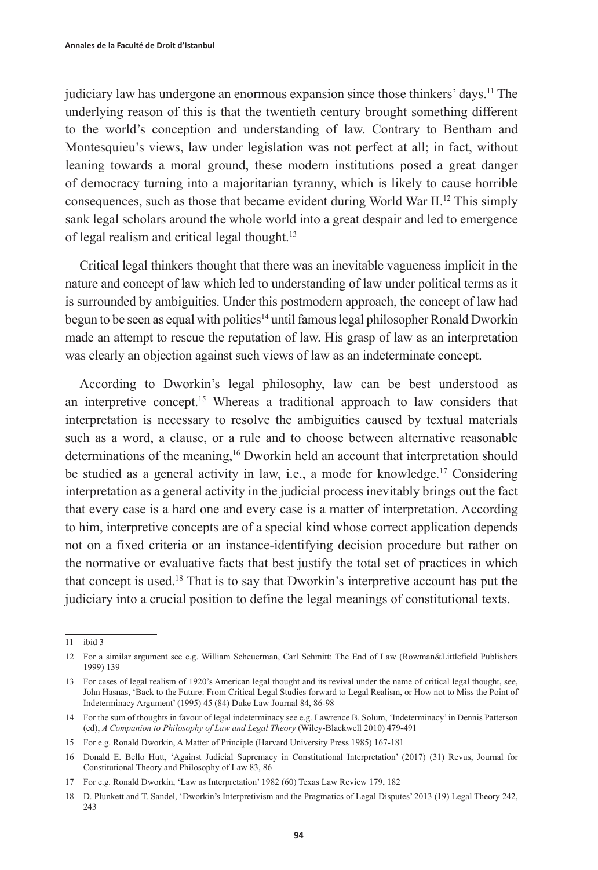judiciary law has undergone an enormous expansion since those thinkers' days.11 The underlying reason of this is that the twentieth century brought something different to the world's conception and understanding of law. Contrary to Bentham and Montesquieu's views, law under legislation was not perfect at all; in fact, without leaning towards a moral ground, these modern institutions posed a great danger of democracy turning into a majoritarian tyranny, which is likely to cause horrible consequences, such as those that became evident during World War II.12 This simply sank legal scholars around the whole world into a great despair and led to emergence of legal realism and critical legal thought.13

Critical legal thinkers thought that there was an inevitable vagueness implicit in the nature and concept of law which led to understanding of law under political terms as it is surrounded by ambiguities. Under this postmodern approach, the concept of law had begun to be seen as equal with politics<sup>14</sup> until famous legal philosopher Ronald Dworkin made an attempt to rescue the reputation of law. His grasp of law as an interpretation was clearly an objection against such views of law as an indeterminate concept.

According to Dworkin's legal philosophy, law can be best understood as an interpretive concept.<sup>15</sup> Whereas a traditional approach to law considers that interpretation is necessary to resolve the ambiguities caused by textual materials such as a word, a clause, or a rule and to choose between alternative reasonable determinations of the meaning,<sup>16</sup> Dworkin held an account that interpretation should be studied as a general activity in law, i.e., a mode for knowledge.17 Considering interpretation as a general activity in the judicial process inevitably brings out the fact that every case is a hard one and every case is a matter of interpretation. According to him, interpretive concepts are of a special kind whose correct application depends not on a fixed criteria or an instance-identifying decision procedure but rather on the normative or evaluative facts that best justify the total set of practices in which that concept is used.18 That is to say that Dworkin's interpretive account has put the judiciary into a crucial position to define the legal meanings of constitutional texts.

<sup>11</sup> ibid 3

<sup>12</sup> For a similar argument see e.g. William Scheuerman, Carl Schmitt: The End of Law (Rowman&Littlefield Publishers 1999) 139

<sup>13</sup> For cases of legal realism of 1920's American legal thought and its revival under the name of critical legal thought, see, John Hasnas, 'Back to the Future: From Critical Legal Studies forward to Legal Realism, or How not to Miss the Point of Indeterminacy Argument' (1995) 45 (84) Duke Law Journal 84, 86-98

<sup>14</sup> For the sum of thoughts in favour of legal indeterminacy see e.g. Lawrence B. Solum, 'Indeterminacy' in Dennis Patterson (ed), *A Companion to Philosophy of Law and Legal Theory* (Wiley-Blackwell 2010) 479-491

<sup>15</sup> For e.g. Ronald Dworkin, A Matter of Principle (Harvard University Press 1985) 167-181

<sup>16</sup> Donald E. Bello Hutt, 'Against Judicial Supremacy in Constitutional Interpretation' (2017) (31) Revus, Journal for Constitutional Theory and Philosophy of Law 83, 86

<sup>17</sup> For e.g. Ronald Dworkin, 'Law as Interpretation' 1982 (60) Texas Law Review 179, 182

<sup>18</sup> D. Plunkett and T. Sandel, 'Dworkin's Interpretivism and the Pragmatics of Legal Disputes' 2013 (19) Legal Theory 242, 243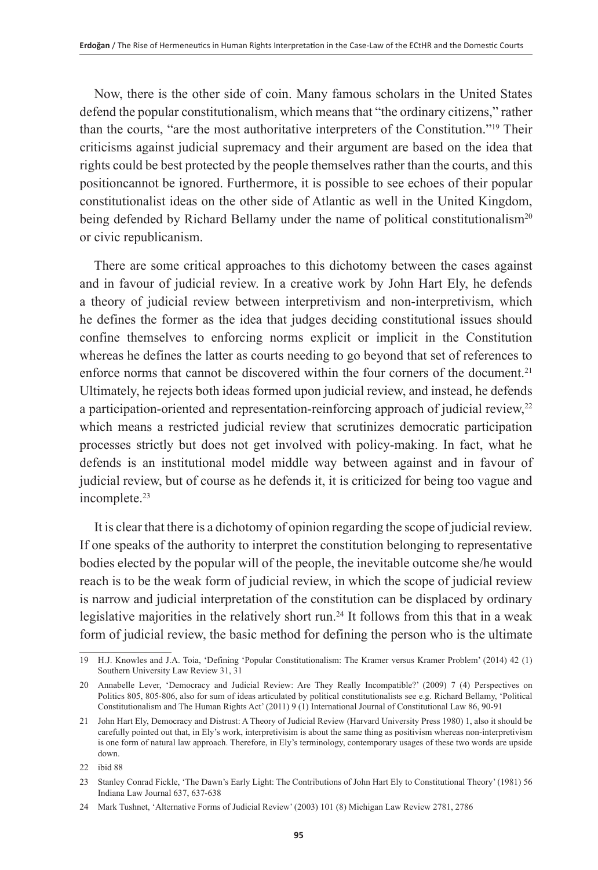Now, there is the other side of coin. Many famous scholars in the United States defend the popular constitutionalism, which means that "the ordinary citizens," rather than the courts, "are the most authoritative interpreters of the Constitution."19 Their criticisms against judicial supremacy and their argument are based on the idea that rights could be best protected by the people themselves rather than the courts, and this positioncannot be ignored. Furthermore, it is possible to see echoes of their popular constitutionalist ideas on the other side of Atlantic as well in the United Kingdom, being defended by Richard Bellamy under the name of political constitutionalism<sup>20</sup> or civic republicanism.

There are some critical approaches to this dichotomy between the cases against and in favour of judicial review. In a creative work by John Hart Ely, he defends a theory of judicial review between interpretivism and non-interpretivism, which he defines the former as the idea that judges deciding constitutional issues should confine themselves to enforcing norms explicit or implicit in the Constitution whereas he defines the latter as courts needing to go beyond that set of references to enforce norms that cannot be discovered within the four corners of the document.<sup>21</sup> Ultimately, he rejects both ideas formed upon judicial review, and instead, he defends a participation-oriented and representation-reinforcing approach of judicial review, $22$ which means a restricted judicial review that scrutinizes democratic participation processes strictly but does not get involved with policy-making. In fact, what he defends is an institutional model middle way between against and in favour of judicial review, but of course as he defends it, it is criticized for being too vague and incomplete.<sup>23</sup>

It is clear that there is a dichotomy of opinion regarding the scope of judicial review. If one speaks of the authority to interpret the constitution belonging to representative bodies elected by the popular will of the people, the inevitable outcome she/he would reach is to be the weak form of judicial review, in which the scope of judicial review is narrow and judicial interpretation of the constitution can be displaced by ordinary legislative majorities in the relatively short run.24 It follows from this that in a weak form of judicial review, the basic method for defining the person who is the ultimate

<sup>19</sup> H.J. Knowles and J.A. Toia, 'Defining 'Popular Constitutionalism: The Kramer versus Kramer Problem' (2014) 42 (1) Southern University Law Review 31, 31

<sup>20</sup> Annabelle Lever, 'Democracy and Judicial Review: Are They Really Incompatible?' (2009) 7 (4) Perspectives on Politics 805, 805-806, also for sum of ideas articulated by political constitutionalists see e.g. Richard Bellamy, 'Political Constitutionalism and The Human Rights Act' (2011) 9 (1) International Journal of Constitutional Law 86, 90-91

<sup>21</sup> John Hart Ely, Democracy and Distrust: A Theory of Judicial Review (Harvard University Press 1980) 1, also it should be carefully pointed out that, in Ely's work, interpretivisim is about the same thing as positivism whereas non-interpretivism is one form of natural law approach. Therefore, in Ely's terminology, contemporary usages of these two words are upside down.

<sup>22</sup> ibid 88

<sup>23</sup> Stanley Conrad Fickle, 'The Dawn's Early Light: The Contributions of John Hart Ely to Constitutional Theory' (1981) 56 Indiana Law Journal 637, 637-638

<sup>24</sup> Mark Tushnet, 'Alternative Forms of Judicial Review' (2003) 101 (8) Michigan Law Review 2781, 2786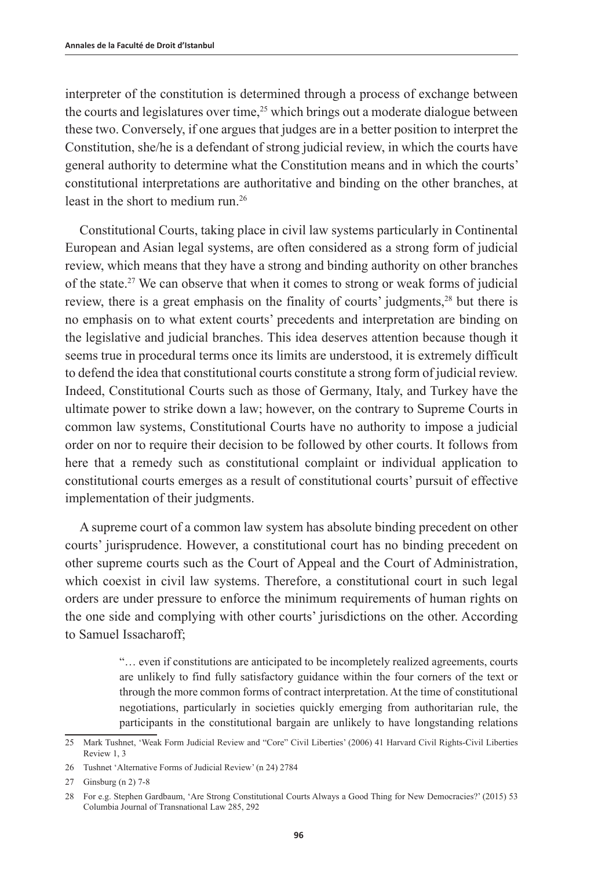interpreter of the constitution is determined through a process of exchange between the courts and legislatures over time,<sup>25</sup> which brings out a moderate dialogue between these two. Conversely, if one argues that judges are in a better position to interpret the Constitution, she/he is a defendant of strong judicial review, in which the courts have general authority to determine what the Constitution means and in which the courts' constitutional interpretations are authoritative and binding on the other branches, at least in the short to medium run.<sup>26</sup>

Constitutional Courts, taking place in civil law systems particularly in Continental European and Asian legal systems, are often considered as a strong form of judicial review, which means that they have a strong and binding authority on other branches of the state.27 We can observe that when it comes to strong or weak forms of judicial review, there is a great emphasis on the finality of courts' judgments,<sup>28</sup> but there is no emphasis on to what extent courts' precedents and interpretation are binding on the legislative and judicial branches. This idea deserves attention because though it seems true in procedural terms once its limits are understood, it is extremely difficult to defend the idea that constitutional courts constitute a strong form of judicial review. Indeed, Constitutional Courts such as those of Germany, Italy, and Turkey have the ultimate power to strike down a law; however, on the contrary to Supreme Courts in common law systems, Constitutional Courts have no authority to impose a judicial order on nor to require their decision to be followed by other courts. It follows from here that a remedy such as constitutional complaint or individual application to constitutional courts emerges as a result of constitutional courts' pursuit of effective implementation of their judgments.

A supreme court of a common law system has absolute binding precedent on other courts' jurisprudence. However, a constitutional court has no binding precedent on other supreme courts such as the Court of Appeal and the Court of Administration, which coexist in civil law systems. Therefore, a constitutional court in such legal orders are under pressure to enforce the minimum requirements of human rights on the one side and complying with other courts' jurisdictions on the other. According to Samuel Issacharoff;

> "… even if constitutions are anticipated to be incompletely realized agreements, courts are unlikely to find fully satisfactory guidance within the four corners of the text or through the more common forms of contract interpretation. At the time of constitutional negotiations, particularly in societies quickly emerging from authoritarian rule, the participants in the constitutional bargain are unlikely to have longstanding relations

<sup>25</sup> Mark Tushnet, 'Weak Form Judicial Review and "Core" Civil Liberties' (2006) 41 Harvard Civil Rights-Civil Liberties Review 1, 3

<sup>26</sup> Tushnet 'Alternative Forms of Judicial Review' (n 24) 2784

<sup>27</sup> Ginsburg (n 2) 7-8

<sup>28</sup> For e.g. Stephen Gardbaum, 'Are Strong Constitutional Courts Always a Good Thing for New Democracies?' (2015) 53 Columbia Journal of Transnational Law 285, 292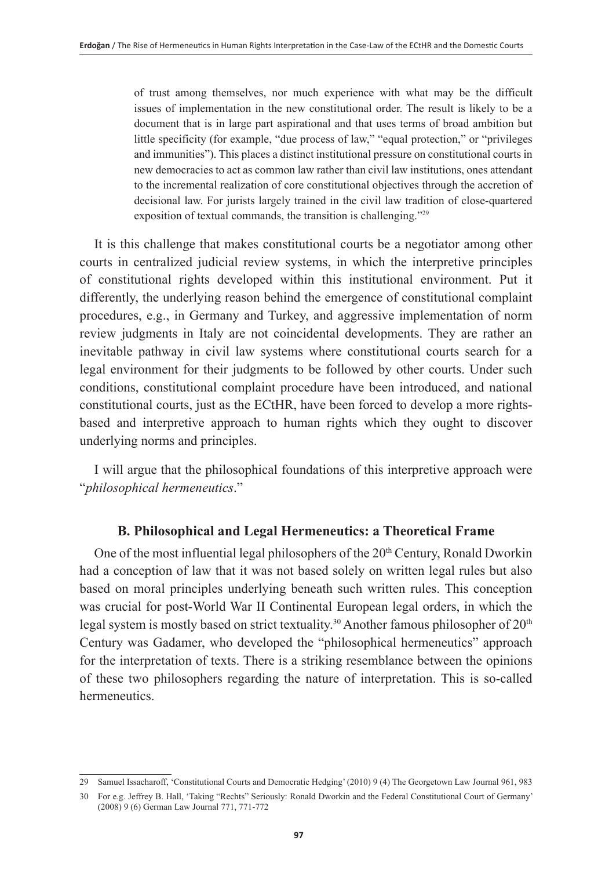of trust among themselves, nor much experience with what may be the difficult issues of implementation in the new constitutional order. The result is likely to be a document that is in large part aspirational and that uses terms of broad ambition but little specificity (for example, "due process of law," "equal protection," or "privileges and immunities"). This places a distinct institutional pressure on constitutional courts in new democracies to act as common law rather than civil law institutions, ones attendant to the incremental realization of core constitutional objectives through the accretion of decisional law. For jurists largely trained in the civil law tradition of close-quartered exposition of textual commands, the transition is challenging."29

It is this challenge that makes constitutional courts be a negotiator among other courts in centralized judicial review systems, in which the interpretive principles of constitutional rights developed within this institutional environment. Put it differently, the underlying reason behind the emergence of constitutional complaint procedures, e.g., in Germany and Turkey, and aggressive implementation of norm review judgments in Italy are not coincidental developments. They are rather an inevitable pathway in civil law systems where constitutional courts search for a legal environment for their judgments to be followed by other courts. Under such conditions, constitutional complaint procedure have been introduced, and national constitutional courts, just as the ECtHR, have been forced to develop a more rightsbased and interpretive approach to human rights which they ought to discover underlying norms and principles.

I will argue that the philosophical foundations of this interpretive approach were "*philosophical hermeneutics*."

## **B. Philosophical and Legal Hermeneutics: a Theoretical Frame**

One of the most influential legal philosophers of the 20<sup>th</sup> Century, Ronald Dworkin had a conception of law that it was not based solely on written legal rules but also based on moral principles underlying beneath such written rules. This conception was crucial for post-World War II Continental European legal orders, in which the legal system is mostly based on strict textuality.<sup>30</sup> Another famous philosopher of  $20<sup>th</sup>$ Century was Gadamer, who developed the "philosophical hermeneutics" approach for the interpretation of texts. There is a striking resemblance between the opinions of these two philosophers regarding the nature of interpretation. This is so-called hermeneutics.

<sup>29</sup> Samuel Issacharoff, 'Constitutional Courts and Democratic Hedging' (2010) 9 (4) The Georgetown Law Journal 961, 983

<sup>30</sup> For e.g. Jeffrey B. Hall, 'Taking "Rechts" Seriously: Ronald Dworkin and the Federal Constitutional Court of Germany' (2008) 9 (6) German Law Journal 771, 771-772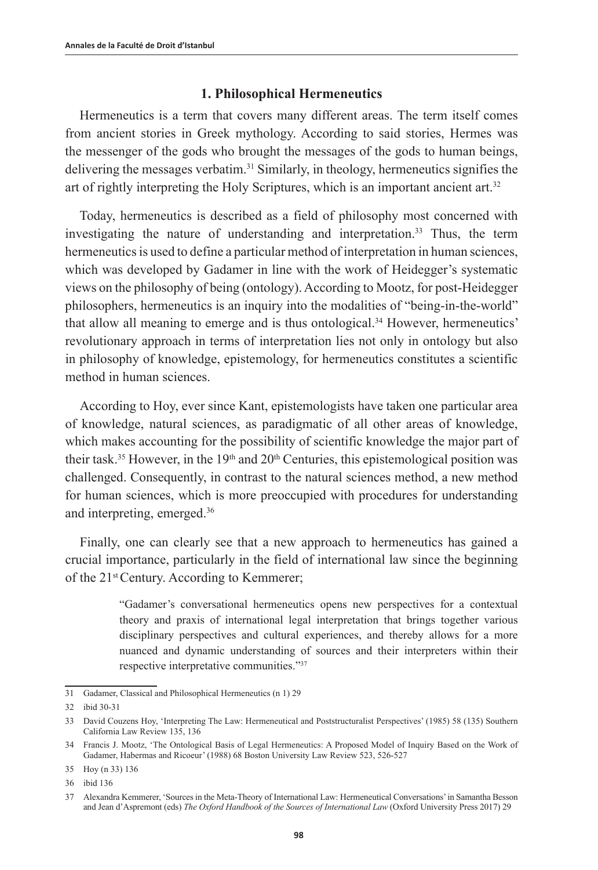#### **1. Philosophical Hermeneutics**

Hermeneutics is a term that covers many different areas. The term itself comes from ancient stories in Greek mythology. According to said stories, Hermes was the messenger of the gods who brought the messages of the gods to human beings, delivering the messages verbatim.<sup>31</sup> Similarly, in theology, hermeneutics signifies the art of rightly interpreting the Holy Scriptures, which is an important ancient art.32

Today, hermeneutics is described as a field of philosophy most concerned with investigating the nature of understanding and interpretation.<sup>33</sup> Thus, the term hermeneutics is used to define a particular method of interpretation in human sciences, which was developed by Gadamer in line with the work of Heidegger's systematic views on the philosophy of being (ontology). According to Mootz, for post-Heidegger philosophers, hermeneutics is an inquiry into the modalities of "being-in-the-world" that allow all meaning to emerge and is thus ontological.<sup>34</sup> However, hermeneutics' revolutionary approach in terms of interpretation lies not only in ontology but also in philosophy of knowledge, epistemology, for hermeneutics constitutes a scientific method in human sciences.

According to Hoy, ever since Kant, epistemologists have taken one particular area of knowledge, natural sciences, as paradigmatic of all other areas of knowledge, which makes accounting for the possibility of scientific knowledge the major part of their task.<sup>35</sup> However, in the 19<sup>th</sup> and 20<sup>th</sup> Centuries, this epistemological position was challenged. Consequently, in contrast to the natural sciences method, a new method for human sciences, which is more preoccupied with procedures for understanding and interpreting, emerged.36

Finally, one can clearly see that a new approach to hermeneutics has gained a crucial importance, particularly in the field of international law since the beginning of the 21st Century. According to Kemmerer;

> "Gadamer's conversational hermeneutics opens new perspectives for a contextual theory and praxis of international legal interpretation that brings together various disciplinary perspectives and cultural experiences, and thereby allows for a more nuanced and dynamic understanding of sources and their interpreters within their respective interpretative communities."37

<sup>31</sup> Gadamer, Classical and Philosophical Hermeneutics (n 1) 29

<sup>32</sup> ibid 30-31

<sup>33</sup> David Couzens Hoy, 'Interpreting The Law: Hermeneutical and Poststructuralist Perspectives' (1985) 58 (135) Southern California Law Review 135, 136

<sup>34</sup> Francis J. Mootz, 'The Ontological Basis of Legal Hermeneutics: A Proposed Model of Inquiry Based on the Work of Gadamer, Habermas and Ricoeur' (1988) 68 Boston University Law Review 523, 526-527

<sup>35</sup> Hoy (n 33) 136

<sup>36</sup> ibid 136

<sup>37</sup> Alexandra Kemmerer, 'Sources in the Meta-Theory of International Law: Hermeneutical Conversations' in Samantha Besson and Jean d'Aspremont (eds) *The Oxford Handbook of the Sources of International Law* (Oxford University Press 2017) 29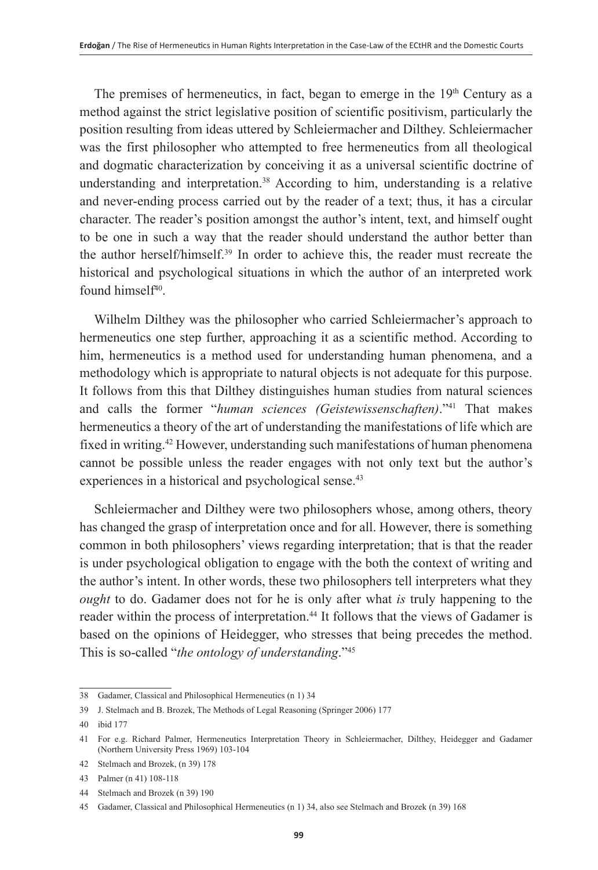The premises of hermeneutics, in fact, began to emerge in the  $19<sup>th</sup>$  Century as a method against the strict legislative position of scientific positivism, particularly the position resulting from ideas uttered by Schleiermacher and Dilthey. Schleiermacher was the first philosopher who attempted to free hermeneutics from all theological and dogmatic characterization by conceiving it as a universal scientific doctrine of understanding and interpretation.<sup>38</sup> According to him, understanding is a relative and never-ending process carried out by the reader of a text; thus, it has a circular character. The reader's position amongst the author's intent, text, and himself ought to be one in such a way that the reader should understand the author better than the author herself/himself.39 In order to achieve this, the reader must recreate the historical and psychological situations in which the author of an interpreted work found himsel $f^{40}$ .

Wilhelm Dilthey was the philosopher who carried Schleiermacher's approach to hermeneutics one step further, approaching it as a scientific method. According to him, hermeneutics is a method used for understanding human phenomena, and a methodology which is appropriate to natural objects is not adequate for this purpose. It follows from this that Dilthey distinguishes human studies from natural sciences and calls the former "*human sciences (Geistewissenschaften)*."41 That makes hermeneutics a theory of the art of understanding the manifestations of life which are fixed in writing.42 However, understanding such manifestations of human phenomena cannot be possible unless the reader engages with not only text but the author's experiences in a historical and psychological sense.<sup>43</sup>

Schleiermacher and Dilthey were two philosophers whose, among others, theory has changed the grasp of interpretation once and for all. However, there is something common in both philosophers' views regarding interpretation; that is that the reader is under psychological obligation to engage with the both the context of writing and the author's intent. In other words, these two philosophers tell interpreters what they *ought* to do. Gadamer does not for he is only after what *is* truly happening to the reader within the process of interpretation.<sup>44</sup> It follows that the views of Gadamer is based on the opinions of Heidegger, who stresses that being precedes the method. This is so-called "*the ontology of understanding*."45

<sup>38</sup> Gadamer, Classical and Philosophical Hermeneutics (n 1) 34

<sup>39</sup> J. Stelmach and B. Brozek, The Methods of Legal Reasoning (Springer 2006) 177

<sup>40</sup> ibid 177

<sup>41</sup> For e.g. Richard Palmer, Hermeneutics Interpretation Theory in Schleiermacher, Dilthey, Heidegger and Gadamer (Northern University Press 1969) 103-104

<sup>42</sup> Stelmach and Brozek, (n 39) 178

<sup>43</sup> Palmer (n 41) 108-118

<sup>44</sup> Stelmach and Brozek (n 39) 190

<sup>45</sup> Gadamer, Classical and Philosophical Hermeneutics (n 1) 34, also see Stelmach and Brozek (n 39) 168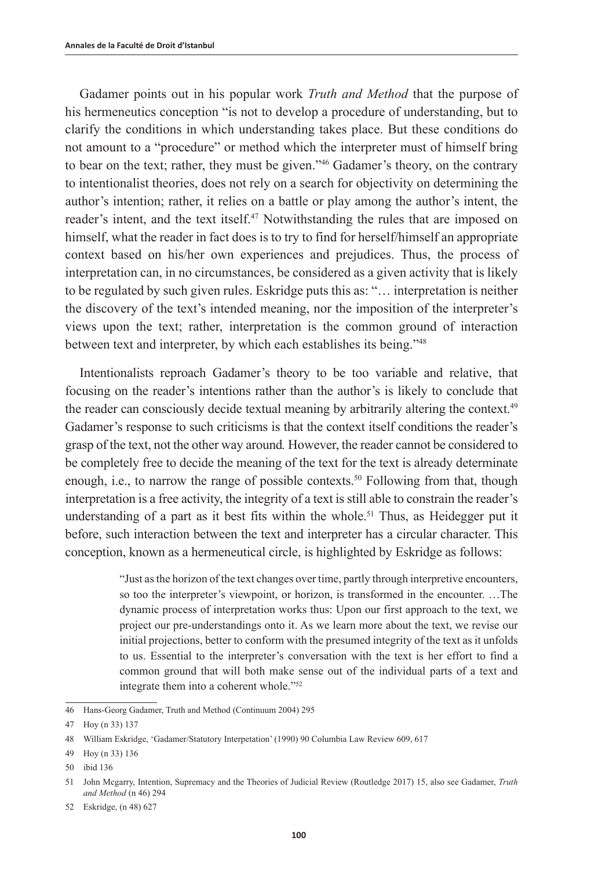Gadamer points out in his popular work *Truth and Method* that the purpose of his hermeneutics conception "is not to develop a procedure of understanding, but to clarify the conditions in which understanding takes place. But these conditions do not amount to a "procedure" or method which the interpreter must of himself bring to bear on the text; rather, they must be given."46 Gadamer's theory, on the contrary to intentionalist theories, does not rely on a search for objectivity on determining the author's intention; rather, it relies on a battle or play among the author's intent, the reader's intent, and the text itself.<sup>47</sup> Notwithstanding the rules that are imposed on himself, what the reader in fact does is to try to find for herself/himself an appropriate context based on his/her own experiences and prejudices. Thus, the process of interpretation can, in no circumstances, be considered as a given activity that is likely to be regulated by such given rules. Eskridge puts this as: "… interpretation is neither the discovery of the text's intended meaning, nor the imposition of the interpreter's views upon the text; rather, interpretation is the common ground of interaction between text and interpreter, by which each establishes its being."48

Intentionalists reproach Gadamer's theory to be too variable and relative, that focusing on the reader's intentions rather than the author's is likely to conclude that the reader can consciously decide textual meaning by arbitrarily altering the context.<sup>49</sup> Gadamer's response to such criticisms is that the context itself conditions the reader's grasp of the text, not the other way around*.* However, the reader cannot be considered to be completely free to decide the meaning of the text for the text is already determinate enough, i.e., to narrow the range of possible contexts.<sup>50</sup> Following from that, though interpretation is a free activity, the integrity of a text is still able to constrain the reader's understanding of a part as it best fits within the whole.<sup>51</sup> Thus, as Heidegger put it before, such interaction between the text and interpreter has a circular character. This conception, known as a hermeneutical circle, is highlighted by Eskridge as follows:

> "Just as the horizon of the text changes over time, partly through interpretive encounters, so too the interpreter's viewpoint, or horizon, is transformed in the encounter. …The dynamic process of interpretation works thus: Upon our first approach to the text, we project our pre-understandings onto it. As we learn more about the text, we revise our initial projections, better to conform with the presumed integrity of the text as it unfolds to us. Essential to the interpreter's conversation with the text is her effort to find a common ground that will both make sense out of the individual parts of a text and integrate them into a coherent whole."52

- 49 Hoy (n 33) 136
- 50 ibid 136

<sup>46</sup> Hans-Georg Gadamer, Truth and Method (Continuum 2004) 295

<sup>47</sup> Hoy (n 33) 137

<sup>48</sup> William Eskridge, 'Gadamer/Statutory Interpetation' (1990) 90 Columbia Law Review 609, 617

<sup>51</sup> John Mcgarry, Intention, Supremacy and the Theories of Judicial Review (Routledge 2017) 15, also see Gadamer, *Truth and Method* (n 46) 294

<sup>52</sup> Eskridge, (n 48) 627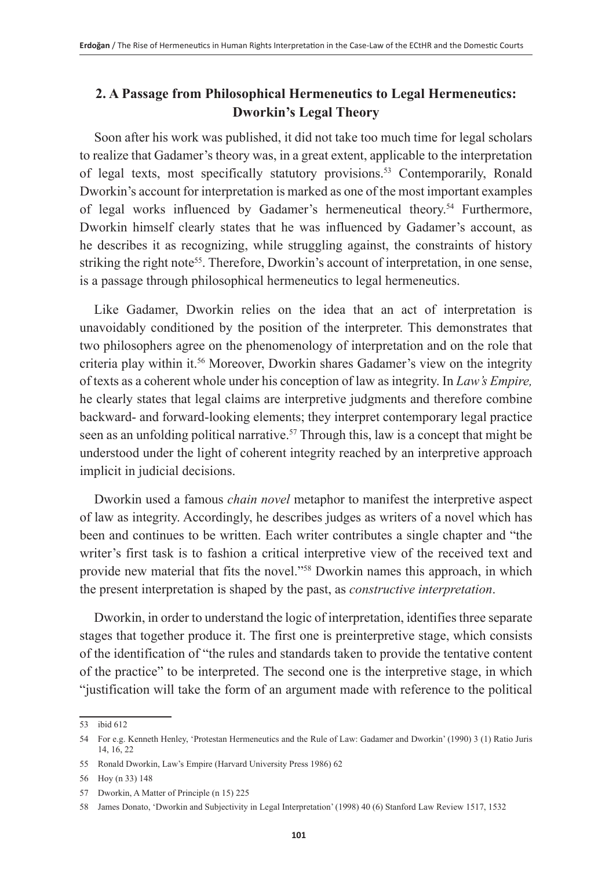# **2. A Passage from Philosophical Hermeneutics to Legal Hermeneutics: Dworkin's Legal Theory**

Soon after his work was published, it did not take too much time for legal scholars to realize that Gadamer's theory was, in a great extent, applicable to the interpretation of legal texts, most specifically statutory provisions.<sup>53</sup> Contemporarily, Ronald Dworkin's account for interpretation is marked as one of the most important examples of legal works influenced by Gadamer's hermeneutical theory.<sup>54</sup> Furthermore, Dworkin himself clearly states that he was influenced by Gadamer's account, as he describes it as recognizing, while struggling against, the constraints of history striking the right note<sup>55</sup>. Therefore, Dworkin's account of interpretation, in one sense, is a passage through philosophical hermeneutics to legal hermeneutics.

Like Gadamer, Dworkin relies on the idea that an act of interpretation is unavoidably conditioned by the position of the interpreter. This demonstrates that two philosophers agree on the phenomenology of interpretation and on the role that criteria play within it.56 Moreover, Dworkin shares Gadamer's view on the integrity of texts as a coherent whole under his conception of law as integrity. In *Law's Empire,*  he clearly states that legal claims are interpretive judgments and therefore combine backward- and forward-looking elements; they interpret contemporary legal practice seen as an unfolding political narrative.<sup>57</sup> Through this, law is a concept that might be understood under the light of coherent integrity reached by an interpretive approach implicit in judicial decisions.

Dworkin used a famous *chain novel* metaphor to manifest the interpretive aspect of law as integrity. Accordingly, he describes judges as writers of a novel which has been and continues to be written. Each writer contributes a single chapter and "the writer's first task is to fashion a critical interpretive view of the received text and provide new material that fits the novel."<sup>58</sup> Dworkin names this approach, in which the present interpretation is shaped by the past, as *constructive interpretation*.

Dworkin, in order to understand the logic of interpretation, identifies three separate stages that together produce it. The first one is preinterpretive stage, which consists of the identification of "the rules and standards taken to provide the tentative content of the practice" to be interpreted. The second one is the interpretive stage, in which "justification will take the form of an argument made with reference to the political

<sup>53</sup> ibid 612

<sup>54</sup> For e.g. Kenneth Henley, 'Protestan Hermeneutics and the Rule of Law: Gadamer and Dworkin' (1990) 3 (1) Ratio Juris 14, 16, 22

<sup>55</sup> Ronald Dworkin, Law's Empire (Harvard University Press 1986) 62

<sup>56</sup> Hoy (n 33) 148

<sup>57</sup> Dworkin, A Matter of Principle (n 15) 225

<sup>58</sup> James Donato, 'Dworkin and Subjectivity in Legal Interpretation' (1998) 40 (6) Stanford Law Review 1517, 1532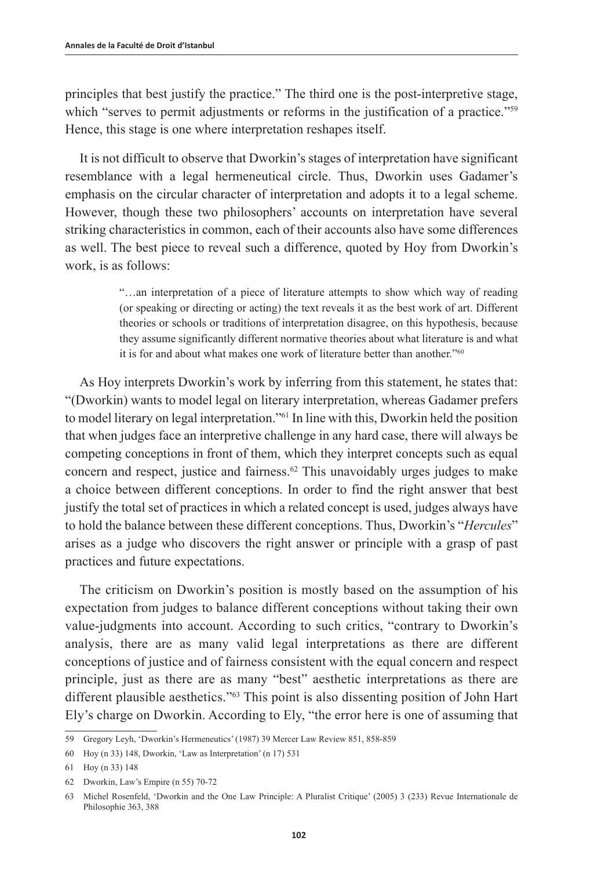principles that best justify the practice." The third one is the post-interpretive stage, which "serves to permit adjustments or reforms in the justification of a practice."<sup>59</sup> Hence, this stage is one where interpretation reshapes itself.

It is not difficult to observe that Dworkin's stages of interpretation have significant resemblance with a legal hermeneutical circle. Thus, Dworkin uses Gadamer's emphasis on the circular character of interpretation and adopts it to a legal scheme. However, though these two philosophers' accounts on interpretation have several striking characteristics in common, each of their accounts also have some differences as well. The best piece to reveal such a difference, quoted by Hoy from Dworkin's work, is as follows:

> "…an interpretation of a piece of literature attempts to show which way of reading (or speaking or directing or acting) the text reveals it as the best work of art. Different theories or schools or traditions of interpretation disagree, on this hypothesis, because they assume significantly different normative theories about what literature is and what it is for and about what makes one work of literature better than another."<sup>60</sup>

As Hoy interprets Dworkin's work by inferring from this statement, he states that: "(Dworkin) wants to model legal on literary interpretation, whereas Gadamer prefers to model literary on legal interpretation."61 In line with this, Dworkin held the position that when judges face an interpretive challenge in any hard case, there will always be competing conceptions in front of them, which they interpret concepts such as equal concern and respect, justice and fairness.<sup>62</sup> This unavoidably urges judges to make a choice between different conceptions. In order to find the right answer that best justify the total set of practices in which a related concept is used, judges always have to hold the balance between these different conceptions. Thus, Dworkin's "*Hercules*" arises as a judge who discovers the right answer or principle with a grasp of past practices and future expectations.

The criticism on Dworkin's position is mostly based on the assumption of his expectation from judges to balance different conceptions without taking their own value-judgments into account. According to such critics, "contrary to Dworkin's analysis, there are as many valid legal interpretations as there are different conceptions of justice and of fairness consistent with the equal concern and respect principle, just as there are as many "best" aesthetic interpretations as there are different plausible aesthetics."63 This point is also dissenting position of John Hart Ely's charge on Dworkin. According to Ely, "the error here is one of assuming that

<sup>59</sup> Gregory Leyh, 'Dworkin's Hermeneutics' (1987) 39 Mercer Law Review 851, 858-859

<sup>60</sup> Hoy (n 33) 148, Dworkin, 'Law as Interpretation' (n 17) 531

<sup>61</sup> Hoy (n 33) 148

<sup>62</sup> Dworkin, Law's Empire (n 55) 70-72

<sup>63</sup> Michel Rosenfeld, 'Dworkin and the One Law Principle: A Pluralist Critique' (2005) 3 (233) Revue Internationale de Philosophie 363, 388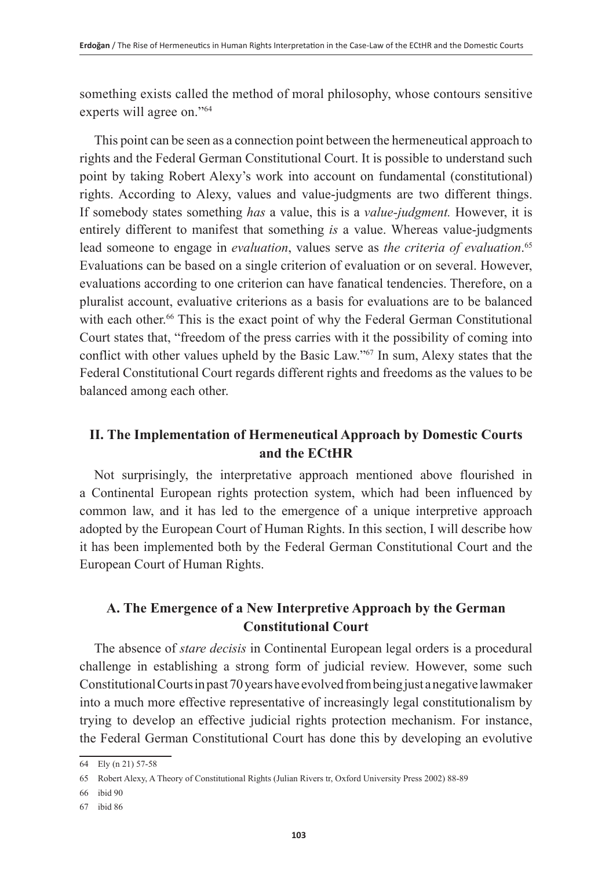something exists called the method of moral philosophy, whose contours sensitive experts will agree on."64

This point can be seen as a connection point between the hermeneutical approach to rights and the Federal German Constitutional Court. It is possible to understand such point by taking Robert Alexy's work into account on fundamental (constitutional) rights. According to Alexy, values and value-judgments are two different things. If somebody states something *has* a value, this is a *value-judgment.* However, it is entirely different to manifest that something *is* a value. Whereas value-judgments lead someone to engage in *evaluation*, values serve as *the criteria of evaluation*. 65 Evaluations can be based on a single criterion of evaluation or on several. However, evaluations according to one criterion can have fanatical tendencies. Therefore, on a pluralist account, evaluative criterions as a basis for evaluations are to be balanced with each other.<sup>66</sup> This is the exact point of why the Federal German Constitutional Court states that, "freedom of the press carries with it the possibility of coming into conflict with other values upheld by the Basic Law."67 In sum, Alexy states that the Federal Constitutional Court regards different rights and freedoms as the values to be balanced among each other.

# **II. The Implementation of Hermeneutical Approach by Domestic Courts and the ECtHR**

Not surprisingly, the interpretative approach mentioned above flourished in a Continental European rights protection system, which had been influenced by common law, and it has led to the emergence of a unique interpretive approach adopted by the European Court of Human Rights. In this section, I will describe how it has been implemented both by the Federal German Constitutional Court and the European Court of Human Rights.

## **A. The Emergence of a New Interpretive Approach by the German Constitutional Court**

The absence of *stare decisis* in Continental European legal orders is a procedural challenge in establishing a strong form of judicial review. However, some such Constitutional Courts in past 70 years have evolved from being just a negative lawmaker into a much more effective representative of increasingly legal constitutionalism by trying to develop an effective judicial rights protection mechanism. For instance, the Federal German Constitutional Court has done this by developing an evolutive

<sup>64</sup> Ely (n 21) 57-58

<sup>65</sup> Robert Alexy, A Theory of Constitutional Rights (Julian Rivers tr, Oxford University Press 2002) 88-89

<sup>66</sup> ibid 90

<sup>67</sup> ibid 86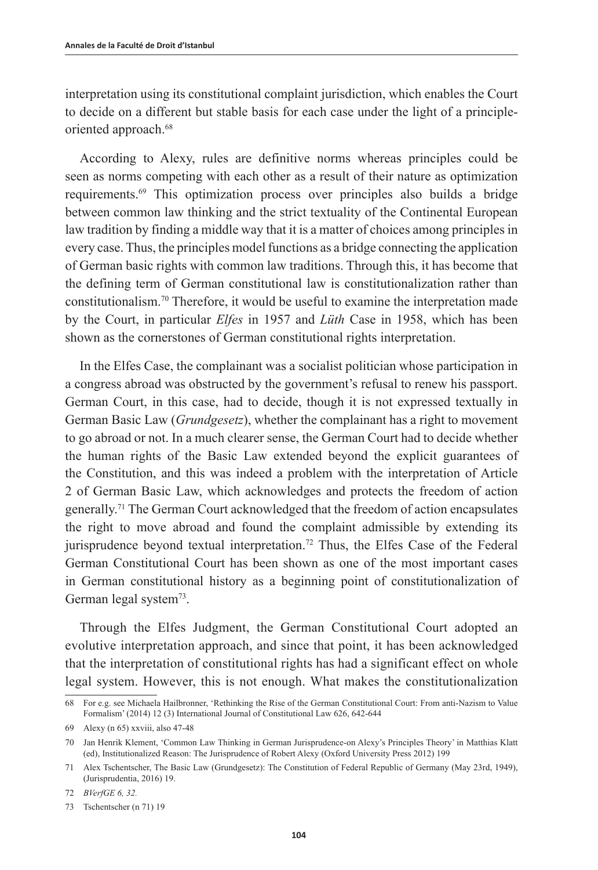interpretation using its constitutional complaint jurisdiction, which enables the Court to decide on a different but stable basis for each case under the light of a principleoriented approach.<sup>68</sup>

According to Alexy, rules are definitive norms whereas principles could be seen as norms competing with each other as a result of their nature as optimization requirements.69 This optimization process over principles also builds a bridge between common law thinking and the strict textuality of the Continental European law tradition by finding a middle way that it is a matter of choices among principles in every case. Thus, the principles model functions as a bridge connecting the application of German basic rights with common law traditions. Through this, it has become that the defining term of German constitutional law is constitutionalization rather than constitutionalism.70 Therefore, it would be useful to examine the interpretation made by the Court, in particular *Elfes* in 1957 and *Lüth* Case in 1958, which has been shown as the cornerstones of German constitutional rights interpretation.

In the Elfes Case, the complainant was a socialist politician whose participation in a congress abroad was obstructed by the government's refusal to renew his passport. German Court, in this case, had to decide, though it is not expressed textually in German Basic Law (*Grundgesetz*), whether the complainant has a right to movement to go abroad or not. In a much clearer sense, the German Court had to decide whether the human rights of the Basic Law extended beyond the explicit guarantees of the Constitution, and this was indeed a problem with the interpretation of Article 2 of German Basic Law, which acknowledges and protects the freedom of action generally.71 The German Court acknowledged that the freedom of action encapsulates the right to move abroad and found the complaint admissible by extending its jurisprudence beyond textual interpretation.<sup>72</sup> Thus, the Elfes Case of the Federal German Constitutional Court has been shown as one of the most important cases in German constitutional history as a beginning point of constitutionalization of German legal system<sup>73</sup>.

Through the Elfes Judgment, the German Constitutional Court adopted an evolutive interpretation approach, and since that point, it has been acknowledged that the interpretation of constitutional rights has had a significant effect on whole legal system. However, this is not enough. What makes the constitutionalization

<sup>68</sup> For e.g. see Michaela Hailbronner, 'Rethinking the Rise of the German Constitutional Court: From anti-Nazism to Value Formalism' (2014) 12 (3) International Journal of Constitutional Law 626, 642-644

<sup>69</sup> Alexy (n 65) xxviii, also 47-48

<sup>70</sup> Jan Henrik Klement, 'Common Law Thinking in German Jurisprudence-on Alexy's Principles Theory' in Matthias Klatt (ed), Institutionalized Reason: The Jurisprudence of Robert Alexy (Oxford University Press 2012) 199

<sup>71</sup> Alex Tschentscher, The Basic Law (Grundgesetz): The Constitution of Federal Republic of Germany (May 23rd, 1949), (Jurisprudentia, 2016) 19.

<sup>72</sup> *BVerfGE 6, 32.*

<sup>73</sup> Tschentscher (n 71) 19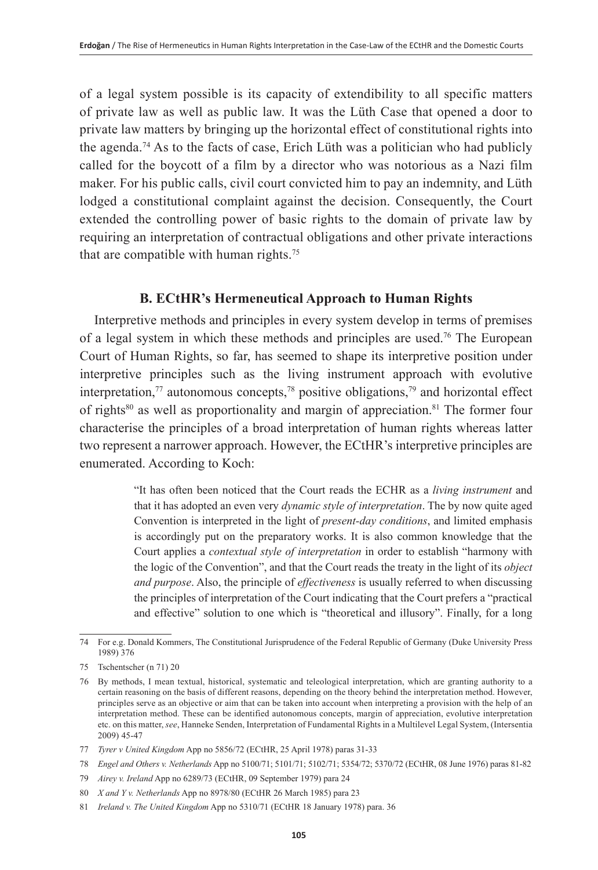of a legal system possible is its capacity of extendibility to all specific matters of private law as well as public law. It was the Lüth Case that opened a door to private law matters by bringing up the horizontal effect of constitutional rights into the agenda.<sup>74</sup> As to the facts of case, Erich Lüth was a politician who had publicly called for the boycott of a film by a director who was notorious as a Nazi film maker. For his public calls, civil court convicted him to pay an indemnity, and Lüth lodged a constitutional complaint against the decision. Consequently, the Court extended the controlling power of basic rights to the domain of private law by requiring an interpretation of contractual obligations and other private interactions that are compatible with human rights.<sup>75</sup>

## **B. ECtHR's Hermeneutical Approach to Human Rights**

Interpretive methods and principles in every system develop in terms of premises of a legal system in which these methods and principles are used.76 The European Court of Human Rights, so far, has seemed to shape its interpretive position under interpretive principles such as the living instrument approach with evolutive interpretation,<sup>77</sup> autonomous concepts,<sup>78</sup> positive obligations,<sup>79</sup> and horizontal effect of rights<sup>80</sup> as well as proportionality and margin of appreciation.<sup>81</sup> The former four characterise the principles of a broad interpretation of human rights whereas latter two represent a narrower approach. However, the ECtHR's interpretive principles are enumerated. According to Koch:

> "It has often been noticed that the Court reads the ECHR as a *living instrument* and that it has adopted an even very *dynamic style of interpretation*. The by now quite aged Convention is interpreted in the light of *present-day conditions*, and limited emphasis is accordingly put on the preparatory works. It is also common knowledge that the Court applies a *contextual style of interpretation* in order to establish "harmony with the logic of the Convention", and that the Court reads the treaty in the light of its *object and purpose*. Also, the principle of *effectiveness* is usually referred to when discussing the principles of interpretation of the Court indicating that the Court prefers a "practical and effective" solution to one which is "theoretical and illusory". Finally, for a long

<sup>74</sup> For e.g. Donald Kommers, The Constitutional Jurisprudence of the Federal Republic of Germany (Duke University Press 1989) 376

<sup>75</sup> Tschentscher (n 71) 20

<sup>76</sup> By methods, I mean textual, historical, systematic and teleological interpretation, which are granting authority to a certain reasoning on the basis of different reasons, depending on the theory behind the interpretation method. However, principles serve as an objective or aim that can be taken into account when interpreting a provision with the help of an interpretation method. These can be identified autonomous concepts, margin of appreciation, evolutive interpretation etc. on this matter, *see*, Hanneke Senden, Interpretation of Fundamental Rights in a Multilevel Legal System, (Intersentia 2009) 45-47

<sup>77</sup> *Tyrer v United Kingdom* App no 5856/72 (ECtHR, 25 April 1978) paras 31-33

<sup>78</sup> *Engel and Others v. Netherlands* App no 5100/71; 5101/71; 5102/71; 5354/72; 5370/72 (ECtHR, 08 June 1976) paras 81-82

<sup>79</sup> *Airey v. Ireland* App no 6289/73 (ECtHR, 09 September 1979) para 24

<sup>80</sup> *X and Y v. Netherlands* App no 8978/80 (ECtHR 26 March 1985) para 23

<sup>81</sup> *Ireland v. The United Kingdom* App no 5310/71 (ECtHR 18 January 1978) para. 36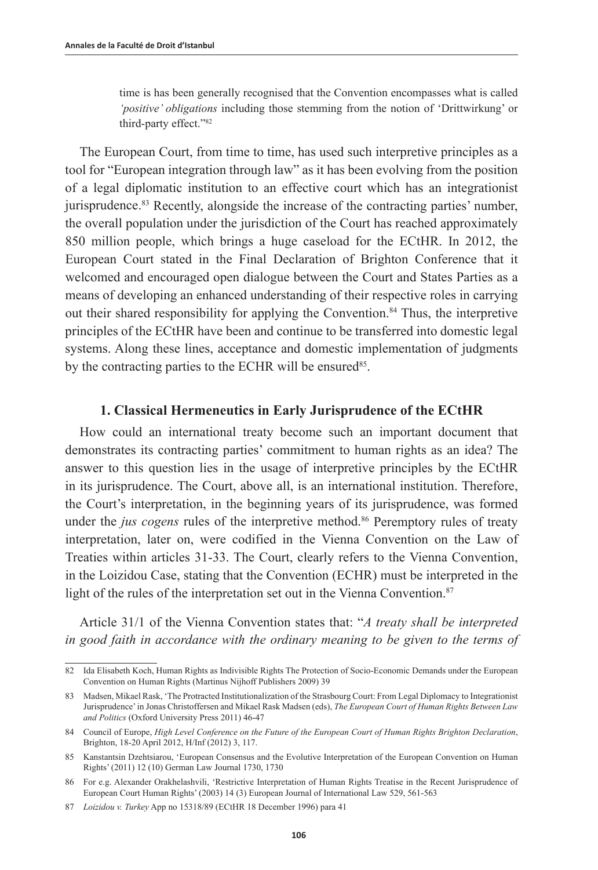time is has been generally recognised that the Convention encompasses what is called *'positive' obligations* including those stemming from the notion of 'Drittwirkung' or third-party effect."82

The European Court, from time to time, has used such interpretive principles as a tool for "European integration through law" as it has been evolving from the position of a legal diplomatic institution to an effective court which has an integrationist jurisprudence.83 Recently, alongside the increase of the contracting parties' number, the overall population under the jurisdiction of the Court has reached approximately 850 million people, which brings a huge caseload for the ECtHR. In 2012, the European Court stated in the Final Declaration of Brighton Conference that it welcomed and encouraged open dialogue between the Court and States Parties as a means of developing an enhanced understanding of their respective roles in carrying out their shared responsibility for applying the Convention.84 Thus, the interpretive principles of the ECtHR have been and continue to be transferred into domestic legal systems. Along these lines, acceptance and domestic implementation of judgments by the contracting parties to the ECHR will be ensured<sup>85</sup>.

#### **1. Classical Hermeneutics in Early Jurisprudence of the ECtHR**

How could an international treaty become such an important document that demonstrates its contracting parties' commitment to human rights as an idea? The answer to this question lies in the usage of interpretive principles by the ECtHR in its jurisprudence. The Court, above all, is an international institution. Therefore, the Court's interpretation, in the beginning years of its jurisprudence, was formed under the *jus cogens* rules of the interpretive method.<sup>86</sup> Peremptory rules of treaty interpretation, later on, were codified in the Vienna Convention on the Law of Treaties within articles 31-33. The Court, clearly refers to the Vienna Convention, in the Loizidou Case, stating that the Convention (ECHR) must be interpreted in the light of the rules of the interpretation set out in the Vienna Convention.<sup>87</sup>

Article 31/1 of the Vienna Convention states that: "*A treaty shall be interpreted in good faith in accordance with the ordinary meaning to be given to the terms of* 

<sup>82</sup> Ida Elisabeth Koch, Human Rights as Indivisible Rights The Protection of Socio-Economic Demands under the European Convention on Human Rights (Martinus Nijhoff Publishers 2009) 39

<sup>83</sup> Madsen, Mikael Rask, 'The Protracted Institutionalization of the Strasbourg Court: From Legal Diplomacy to Integrationist Jurisprudence' in Jonas Christoffersen and Mikael Rask Madsen (eds), *The European Court of Human Rights Between Law and Politics* (Oxford University Press 2011) 46-47

<sup>84</sup> Council of Europe, *High Level Conference on the Future of the European Court of Human Rights Brighton Declaration*, Brighton, 18-20 April 2012, H/Inf (2012) 3, 117.

<sup>85</sup> Kanstantsin Dzehtsiarou, 'European Consensus and the Evolutive Interpretation of the European Convention on Human Rights' (2011) 12 (10) German Law Journal 1730, 1730

<sup>86</sup> For e.g. Alexander Orakhelashvili, 'Restrictive Interpretation of Human Rights Treatise in the Recent Jurisprudence of European Court Human Rights' (2003) 14 (3) European Journal of International Law 529, 561-563

<sup>87</sup> *Loizidou v. Turkey* App no 15318/89 (ECtHR 18 December 1996) para 41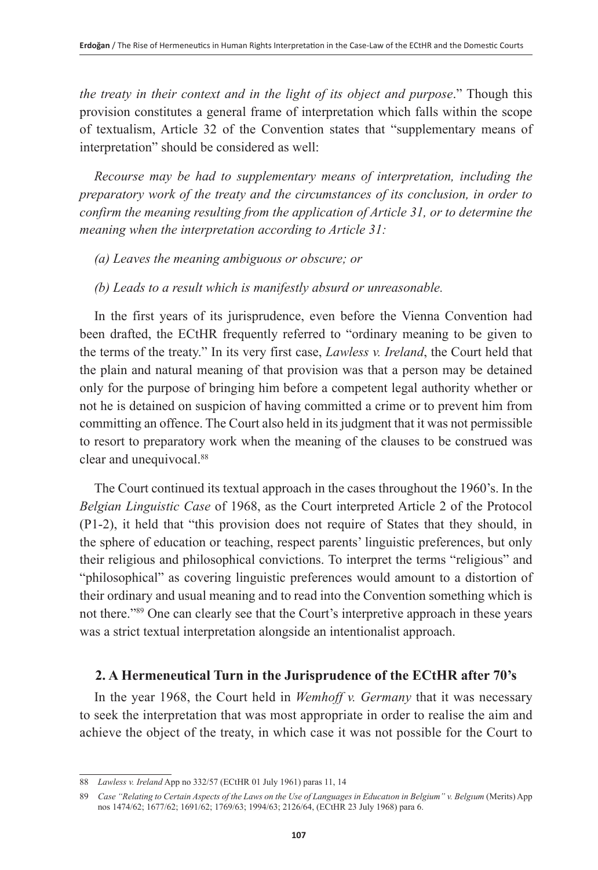*the treaty in their context and in the light of its object and purpose*." Though this provision constitutes a general frame of interpretation which falls within the scope of textualism, Article 32 of the Convention states that "supplementary means of interpretation" should be considered as well:

*Recourse may be had to supplementary means of interpretation, including the preparatory work of the treaty and the circumstances of its conclusion, in order to confirm the meaning resulting from the application of Article 31, or to determine the meaning when the interpretation according to Article 31:* 

- *(a) Leaves the meaning ambiguous or obscure; or*
- *(b) Leads to a result which is manifestly absurd or unreasonable.*

In the first years of its jurisprudence, even before the Vienna Convention had been drafted, the ECtHR frequently referred to "ordinary meaning to be given to the terms of the treaty." In its very first case, *Lawless v. Ireland*, the Court held that the plain and natural meaning of that provision was that a person may be detained only for the purpose of bringing him before a competent legal authority whether or not he is detained on suspicion of having committed a crime or to prevent him from committing an offence. The Court also held in its judgment that it was not permissible to resort to preparatory work when the meaning of the clauses to be construed was clear and unequivocal.<sup>88</sup>

The Court continued its textual approach in the cases throughout the 1960's. In the *Belgian Linguistic Case* of 1968, as the Court interpreted Article 2 of the Protocol (P1-2), it held that "this provision does not require of States that they should, in the sphere of education or teaching, respect parents' linguistic preferences, but only their religious and philosophical convictions. To interpret the terms "religious" and "philosophical" as covering linguistic preferences would amount to a distortion of their ordinary and usual meaning and to read into the Convention something which is not there."89 One can clearly see that the Court's interpretive approach in these years was a strict textual interpretation alongside an intentionalist approach.

## **2. A Hermeneutical Turn in the Jurisprudence of the ECtHR after 70's**

In the year 1968, the Court held in *Wemhoff v. Germany* that it was necessary to seek the interpretation that was most appropriate in order to realise the aim and achieve the object of the treaty, in which case it was not possible for the Court to

<sup>88</sup> *Lawless v. Ireland* App no 332/57 (ECtHR 01 July 1961) paras 11, 14

<sup>89</sup> *Case "Relating to Certain Aspects of the Laws on the Use of Languages in Educatıon in Belgium" v. Belgıum* (Merits) App nos 1474/62; 1677/62; 1691/62; 1769/63; 1994/63; 2126/64, (ECtHR 23 July 1968) para 6.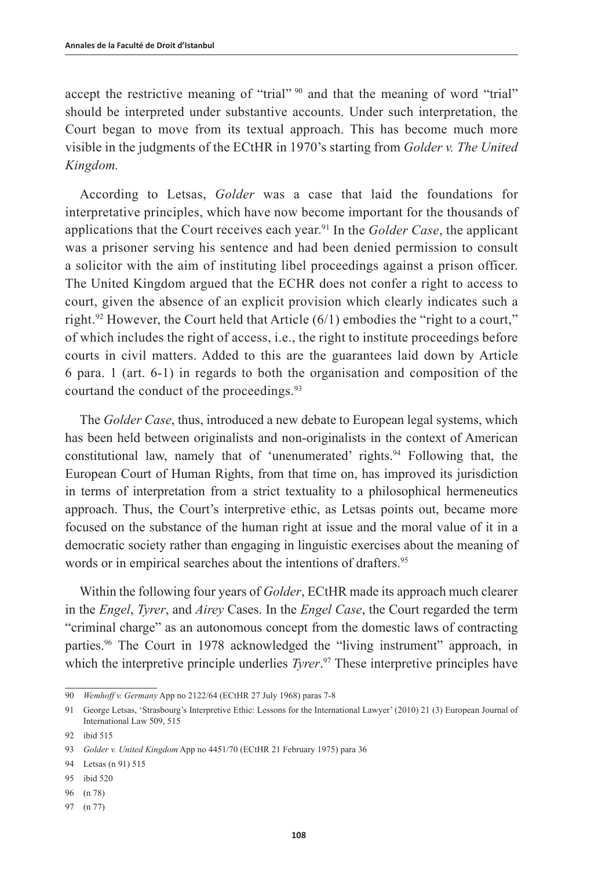accept the restrictive meaning of "trial" <sup>90</sup> and that the meaning of word "trial" should be interpreted under substantive accounts. Under such interpretation, the Court began to move from its textual approach. This has become much more visible in the judgments of the ECtHR in 1970's starting from *Golder v. The United Kingdom.*

According to Letsas, *Golder* was a case that laid the foundations for interpretative principles, which have now become important for the thousands of applications that the Court receives each year.91 In the *Golder Case*, the applicant was a prisoner serving his sentence and had been denied permission to consult a solicitor with the aim of instituting libel proceedings against a prison officer. The United Kingdom argued that the ECHR does not confer a right to access to court, given the absence of an explicit provision which clearly indicates such a right.<sup>92</sup> However, the Court held that Article  $(6/1)$  embodies the "right to a court," of which includes the right of access, i.e., the right to institute proceedings before courts in civil matters. Added to this are the guarantees laid down by Article 6 para. 1 (art. 6-1) in regards to both the organisation and composition of the courtand the conduct of the proceedings.<sup>93</sup>

The *Golder Case*, thus, introduced a new debate to European legal systems, which has been held between originalists and non-originalists in the context of American constitutional law, namely that of 'unenumerated' rights. $94$  Following that, the European Court of Human Rights, from that time on, has improved its jurisdiction in terms of interpretation from a strict textuality to a philosophical hermeneutics approach. Thus, the Court's interpretive ethic, as Letsas points out, became more focused on the substance of the human right at issue and the moral value of it in a democratic society rather than engaging in linguistic exercises about the meaning of words or in empirical searches about the intentions of drafters.<sup>95</sup>

Within the following four years of *Golder*, ECtHR made its approach much clearer in the *Engel*, *Tyrer*, and *Airey* Cases. In the *Engel Case*, the Court regarded the term "criminal charge" as an autonomous concept from the domestic laws of contracting parties.<sup>96</sup> The Court in 1978 acknowledged the "living instrument" approach, in which the interpretive principle underlies *Tyrer*. 97 These interpretive principles have

- 95 ibid 520
- 96 (n 78)

<sup>90</sup> *Wemhoff v. Germany* App no 2122/64 (ECtHR 27 July 1968) paras 7-8

<sup>91</sup> George Letsas, 'Strasbourg's Interpretive Ethic: Lessons for the International Lawyer' (2010) 21 (3) European Journal of International Law 509, 515

<sup>92</sup> ibid 515

<sup>93</sup> *Golder v. United Kingdom* App no 4451/70 (ECtHR 21 February 1975) para 36

<sup>94</sup> Letsas (n 91) 515

<sup>97</sup> (n 77)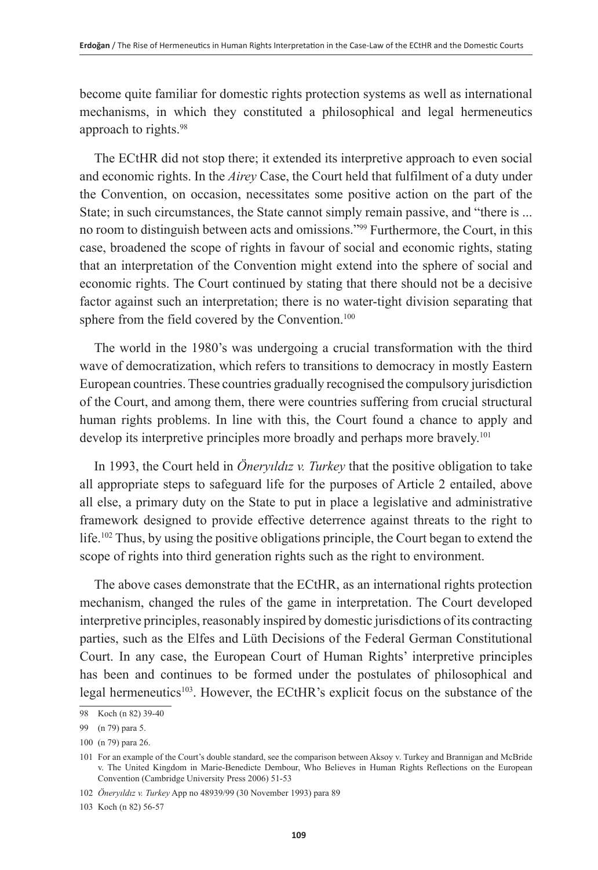become quite familiar for domestic rights protection systems as well as international mechanisms, in which they constituted a philosophical and legal hermeneutics approach to rights.98

The ECtHR did not stop there; it extended its interpretive approach to even social and economic rights. In the *Airey* Case, the Court held that fulfilment of a duty under the Convention, on occasion, necessitates some positive action on the part of the State; in such circumstances, the State cannot simply remain passive, and "there is ... no room to distinguish between acts and omissions."99 Furthermore, the Court, in this case, broadened the scope of rights in favour of social and economic rights, stating that an interpretation of the Convention might extend into the sphere of social and economic rights. The Court continued by stating that there should not be a decisive factor against such an interpretation; there is no water-tight division separating that sphere from the field covered by the Convention.<sup>100</sup>

The world in the 1980's was undergoing a crucial transformation with the third wave of democratization, which refers to transitions to democracy in mostly Eastern European countries. These countries gradually recognised the compulsory jurisdiction of the Court, and among them, there were countries suffering from crucial structural human rights problems. In line with this, the Court found a chance to apply and develop its interpretive principles more broadly and perhaps more bravely.<sup>101</sup>

In 1993, the Court held in *Öneryıldız v. Turkey* that the positive obligation to take all appropriate steps to safeguard life for the purposes of Article 2 entailed, above all else, a primary duty on the State to put in place a legislative and administrative framework designed to provide effective deterrence against threats to the right to life.102 Thus, by using the positive obligations principle, the Court began to extend the scope of rights into third generation rights such as the right to environment.

The above cases demonstrate that the ECtHR, as an international rights protection mechanism, changed the rules of the game in interpretation. The Court developed interpretive principles, reasonably inspired by domestic jurisdictions of its contracting parties, such as the Elfes and Lüth Decisions of the Federal German Constitutional Court. In any case, the European Court of Human Rights' interpretive principles has been and continues to be formed under the postulates of philosophical and legal hermeneutics<sup>103</sup>. However, the ECtHR's explicit focus on the substance of the

<sup>98</sup> Koch (n 82) 39-40

<sup>99</sup> (n 79) para 5.

<sup>100</sup> (n 79) para 26.

<sup>101</sup> For an example of the Court's double standard, see the comparison between Aksoy v. Turkey and Brannigan and McBride v. The United Kingdom in Marie-Benedicte Dembour, Who Believes in Human Rights Reflections on the European Convention (Cambridge University Press 2006) 51-53

<sup>102</sup> *Öneryıldız v. Turkey* App no 48939/99 (30 November 1993) para 89

<sup>103</sup> Koch (n 82) 56-57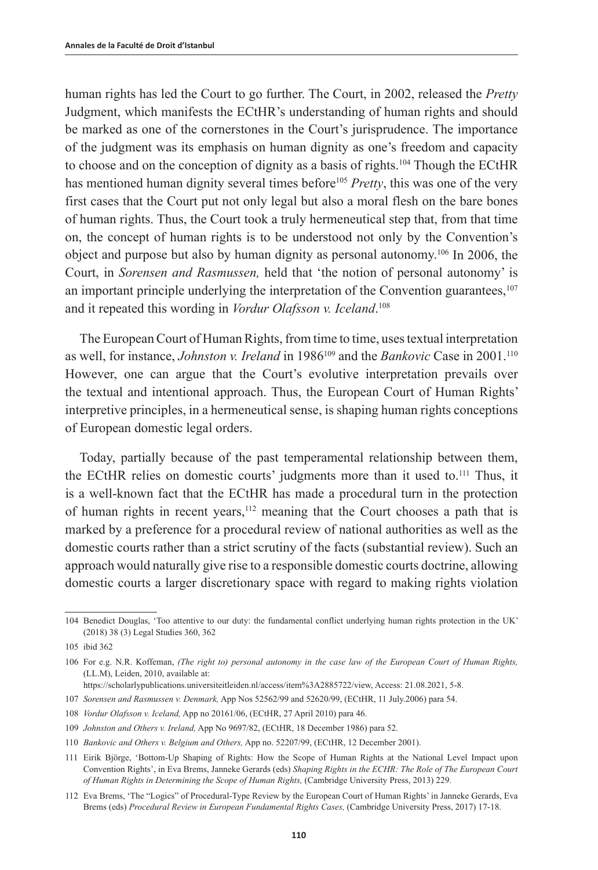human rights has led the Court to go further. The Court, in 2002, released the *Pretty* Judgment, which manifests the ECtHR's understanding of human rights and should be marked as one of the cornerstones in the Court's jurisprudence. The importance of the judgment was its emphasis on human dignity as one's freedom and capacity to choose and on the conception of dignity as a basis of rights.<sup>104</sup> Though the ECtHR has mentioned human dignity several times before<sup>105</sup> *Pretty*, this was one of the very first cases that the Court put not only legal but also a moral flesh on the bare bones of human rights. Thus, the Court took a truly hermeneutical step that, from that time on, the concept of human rights is to be understood not only by the Convention's object and purpose but also by human dignity as personal autonomy.106 In 2006, the Court, in *Sorensen and Rasmussen,* held that 'the notion of personal autonomy' is an important principle underlying the interpretation of the Convention guarantees, $107$ and it repeated this wording in *Vordur Olafsson v. Iceland*. 108

The European Court of Human Rights, from time to time, uses textual interpretation as well, for instance, *Johnston v. Ireland* in 1986<sup>109</sup> and the *Bankovic* Case in 2001.<sup>110</sup> However, one can argue that the Court's evolutive interpretation prevails over the textual and intentional approach. Thus, the European Court of Human Rights' interpretive principles, in a hermeneutical sense, is shaping human rights conceptions of European domestic legal orders.

Today, partially because of the past temperamental relationship between them, the ECtHR relies on domestic courts' judgments more than it used to.111 Thus, it is a well-known fact that the ECtHR has made a procedural turn in the protection of human rights in recent years,112 meaning that the Court chooses a path that is marked by a preference for a procedural review of national authorities as well as the domestic courts rather than a strict scrutiny of the facts (substantial review). Such an approach would naturally give rise to a responsible domestic courts doctrine, allowing domestic courts a larger discretionary space with regard to making rights violation

<sup>104</sup> Benedict Douglas, 'Too attentive to our duty: the fundamental conflict underlying human rights protection in the UK' (2018) 38 (3) Legal Studies 360, 362

<sup>105</sup> ibid 362

<sup>106</sup> For e.g. N.R. Koffeman, *(The right to) personal autonomy in the case law of the European Court of Human Rights,* (LL.M), Leiden, 2010, available at:

https://scholarlypublications.universiteitleiden.nl/access/item%3A2885722/view, Access: 21.08.2021, 5-8.

<sup>107</sup> *Sorensen and Rasmussen v. Denmark,* App Nos 52562/99 and 52620/99, (ECtHR, 11 July.2006) para 54.

<sup>108</sup> *Vordur Olafsson v. Iceland,* App no 20161/06, (ECtHR, 27 April 2010) para 46.

<sup>109</sup> *Johnston and Others v. Ireland,* App No 9697/82, (ECtHR, 18 December 1986) para 52.

<sup>110</sup> *Bankovic and Others v. Belgium and Others,* App no. 52207/99, (ECtHR, 12 December 2001).

<sup>111</sup> Eirik Björge, 'Bottom-Up Shaping of Rights: How the Scope of Human Rights at the National Level Impact upon Convention Rights', in Eva Brems, Janneke Gerards (eds) *Shaping Rights in the ECHR: The Role of The European Court of Human Rights in Determining the Scope of Human Rights,* (Cambridge University Press, 2013) 229.

<sup>112</sup> Eva Brems, 'The "Logics" of Procedural-Type Review by the European Court of Human Rights' in Janneke Gerards, Eva Brems (eds) *Procedural Review in European Fundamental Rights Cases,* (Cambridge University Press, 2017) 17-18.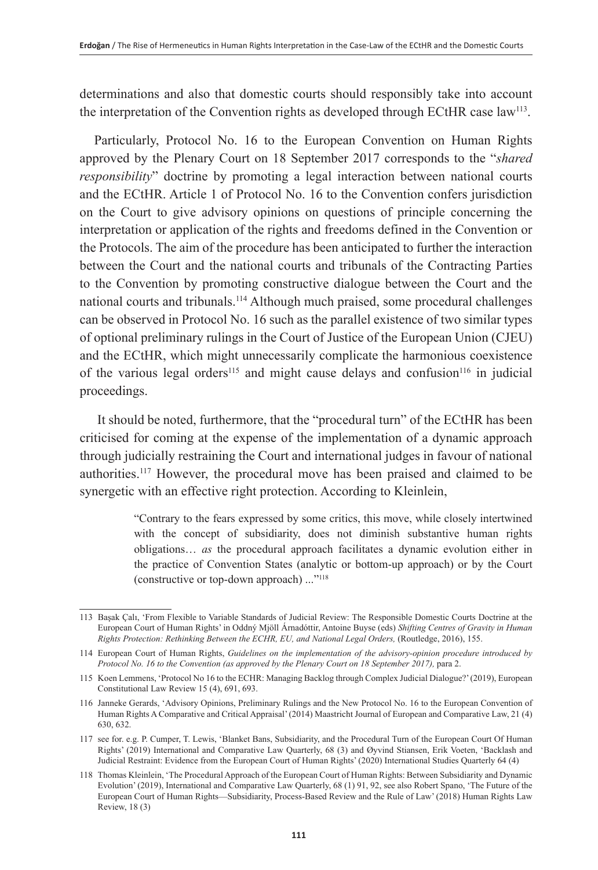determinations and also that domestic courts should responsibly take into account the interpretation of the Convention rights as developed through ECtHR case law<sup>113</sup>.

Particularly, Protocol No. 16 to the European Convention on Human Rights approved by the Plenary Court on 18 September 2017 corresponds to the "*shared responsibility*" doctrine by promoting a legal interaction between national courts and the ECtHR. Article 1 of Protocol No. 16 to the Convention confers jurisdiction on the Court to give advisory opinions on questions of principle concerning the interpretation or application of the rights and freedoms defined in the Convention or the Protocols. The aim of the procedure has been anticipated to further the interaction between the Court and the national courts and tribunals of the Contracting Parties to the Convention by promoting constructive dialogue between the Court and the national courts and tribunals.114 Although much praised, some procedural challenges can be observed in Protocol No. 16 such as the parallel existence of two similar types of optional preliminary rulings in the Court of Justice of the European Union (CJEU) and the ECtHR, which might unnecessarily complicate the harmonious coexistence of the various legal orders<sup>115</sup> and might cause delays and confusion<sup>116</sup> in judicial proceedings.

 It should be noted, furthermore, that the "procedural turn" of the ECtHR has been criticised for coming at the expense of the implementation of a dynamic approach through judicially restraining the Court and international judges in favour of national authorities.117 However, the procedural move has been praised and claimed to be [synergetic](https://tureng.com/tr/turkce-ingilizce/synergetic) with an effective right protection. According to Kleinlein,

> "Contrary to the fears expressed by some critics, this move, while closely intertwined with the concept of subsidiarity, does not diminish substantive human rights obligations… *as* the procedural approach facilitates a dynamic evolution either in the practice of Convention States (analytic or bottom-up approach) or by the Court (constructive or top-down approach) ..."118

<sup>113</sup> Başak Çalı, 'From Flexible to Variable Standards of Judicial Review: The Responsible Domestic Courts Doctrine at the European Court of Human Rights' in Oddný Mjöll Árnadóttir, Antoine Buyse (eds) *Shifting Centres of Gravity in Human Rights Protection: Rethinking Between the ECHR, EU, and National Legal Orders,* (Routledge, 2016), 155.

<sup>114</sup> European Court of Human Rights, *Guidelines on the implementation of the advisory-opinion procedure introduced by Protocol No. 16 to the Convention (as approved by the Plenary Court on 18 September 2017),* para 2.

<sup>115</sup> Koen Lemmens, 'Protocol No 16 to the ECHR: Managing Backlog through Complex Judicial Dialogue?' (2019), European Constitutional Law Review 15 (4), 691, 693.

<sup>116</sup> Janneke Gerards, 'Advisory Opinions, Preliminary Rulings and the New Protocol No. 16 to the European Convention of Human Rights A Comparative and Critical Appraisal' (2014) Maastricht Journal of European and Comparative Law, 21 (4) 630, 632.

<sup>117</sup> see for. e.g. P. Cumper, T. Lewis, 'Blanket Bans, Subsidiarity, and the Procedural Turn of the European Court Of Human Rights' (2019) International and Comparative Law Quarterly, 68 (3) and Øyvind Stiansen, Erik Voeten, 'Backlash and Judicial Restraint: Evidence from the European Court of Human Rights' (2020) International Studies Quarterly 64 (4)

<sup>118</sup> Thomas Kleinlein, 'The Procedural Approach of the European Court of Human Rights: Between Subsidiarity and Dynamic Evolution' (2019), International and Comparative Law Quarterly, 68 (1) 91, 92, see also Robert Spano, 'The Future of the European Court of Human Rights—Subsidiarity, Process-Based Review and the Rule of Law' (2018) Human Rights Law Review, 18 (3)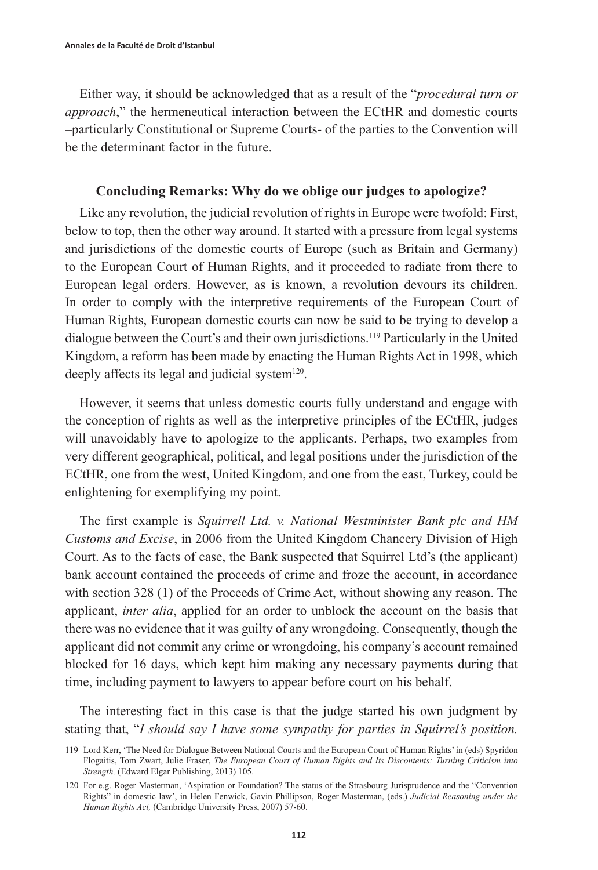Either way, it should be acknowledged that as a result of the "*procedural turn or approach*," the hermeneutical interaction between the ECtHR and domestic courts –particularly Constitutional or Supreme Courts- of the parties to the Convention will be the determinant factor in the future.

## **Concluding Remarks: Why do we oblige our judges to apologize?**

Like any revolution, the judicial revolution of rights in Europe were twofold: First, below to top, then the other way around. It started with a pressure from legal systems and jurisdictions of the domestic courts of Europe (such as Britain and Germany) to the European Court of Human Rights, and it proceeded to radiate from there to European legal orders. However, as is known, a revolution devours its children. In order to comply with the interpretive requirements of the European Court of Human Rights, European domestic courts can now be said to be trying to develop a dialogue between the Court's and their own jurisdictions.<sup>119</sup> Particularly in the United Kingdom, a reform has been made by enacting the Human Rights Act in 1998, which deeply affects its legal and judicial system<sup>120</sup>.

However, it seems that unless domestic courts fully understand and engage with the conception of rights as well as the interpretive principles of the ECtHR, judges will unavoidably have to apologize to the applicants. Perhaps, two examples from very different geographical, political, and legal positions under the jurisdiction of the ECtHR, one from the west, United Kingdom, and one from the east, Turkey, could be enlightening for exemplifying my point.

The first example is *Squirrell Ltd. v. National Westminister Bank plc and HM Customs and Excise*, in 2006 from the United Kingdom Chancery Division of High Court. As to the facts of case, the Bank suspected that Squirrel Ltd's (the applicant) bank account contained the proceeds of crime and froze the account, in accordance with section 328 (1) of the Proceeds of Crime Act, without showing any reason. The applicant, *inter alia*, applied for an order to unblock the account on the basis that there was no evidence that it was guilty of any wrongdoing. Consequently, though the applicant did not commit any crime or wrongdoing, his company's account remained blocked for 16 days, which kept him making any necessary payments during that time, including payment to lawyers to appear before court on his behalf.

The interesting fact in this case is that the judge started his own judgment by stating that, "*I should say I have some sympathy for parties in Squirrel's position.*

<sup>119</sup> Lord Kerr, 'The Need for Dialogue Between National Courts and the European Court of Human Rights' in (eds) Spyridon Flogaitis, Tom Zwart, Julie Fraser, *The European Court of Human Rights and Its Discontents: Turning Criticism into Strength,* (Edward Elgar Publishing, 2013) 105.

<sup>120</sup> For e.g. Roger Masterman, 'Aspiration or Foundation? The status of the Strasbourg Jurisprudence and the "Convention Rights" in domestic law', in Helen Fenwick, Gavin Phillipson, Roger Masterman, (eds.) *Judicial Reasoning under the Human Rights Act,* (Cambridge University Press, 2007) 57-60.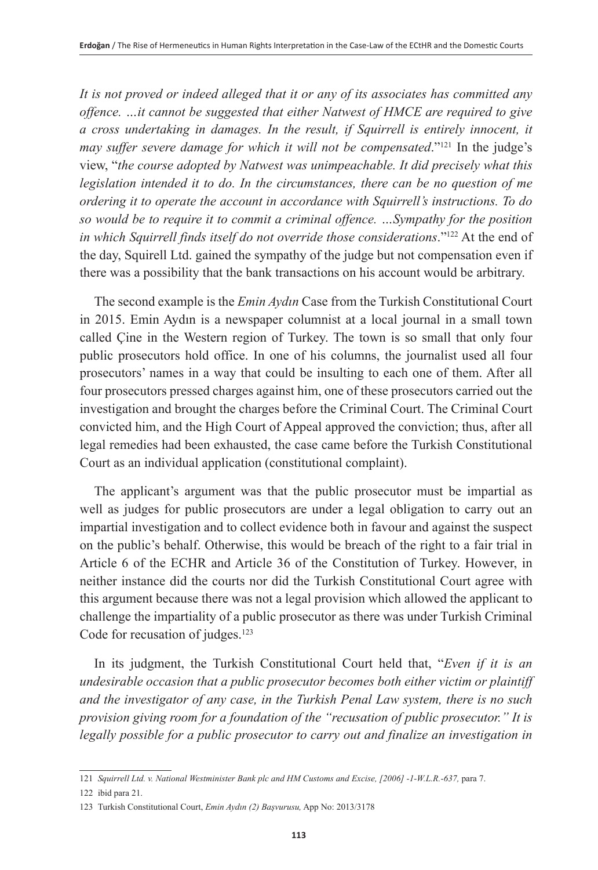*It is not proved or indeed alleged that it or any of its associates has committed any offence. …it cannot be suggested that either Natwest of HMCE are required to give a cross undertaking in damages. In the result, if Squirrell is entirely innocent, it may suffer severe damage for which it will not be compensated.*"<sup>121</sup> In the judge's view, "*the course adopted by Natwest was unimpeachable. It did precisely what this legislation intended it to do. In the circumstances, there can be no question of me ordering it to operate the account in accordance with Squirrell's instructions. To do so would be to require it to commit a criminal offence. …Sympathy for the position in which Squirrell finds itself do not override those considerations.*"<sup>122</sup> At the end of the day, Squirell Ltd. gained the sympathy of the judge but not compensation even if there was a possibility that the bank transactions on his account would be arbitrary.

The second example is the *Emin Aydın* Case from the Turkish Constitutional Court in 2015. Emin Aydın is a newspaper columnist at a local journal in a small town called Çine in the Western region of Turkey. The town is so small that only four public prosecutors hold office. In one of his columns, the journalist used all four prosecutors' names in a way that could be insulting to each one of them. After all four prosecutors pressed charges against him, one of these prosecutors carried out the investigation and brought the charges before the Criminal Court. The Criminal Court convicted him, and the High Court of Appeal approved the conviction; thus, after all legal remedies had been exhausted, the case came before the Turkish Constitutional Court as an individual application (constitutional complaint).

The applicant's argument was that the public prosecutor must be impartial as well as judges for public prosecutors are under a legal obligation to carry out an impartial investigation and to collect evidence both in favour and against the suspect on the public's behalf. Otherwise, this would be breach of the right to a fair trial in Article 6 of the ECHR and Article 36 of the Constitution of Turkey. However, in neither instance did the courts nor did the Turkish Constitutional Court agree with this argument because there was not a legal provision which allowed the applicant to challenge the impartiality of a public prosecutor as there was under Turkish Criminal Code for recusation of judges.<sup>123</sup>

In its judgment, the Turkish Constitutional Court held that, "*Even if it is an undesirable occasion that a public prosecutor becomes both either victim or plaintiff and the investigator of any case, in the Turkish Penal Law system, there is no such provision giving room for a foundation of the "recusation of public prosecutor." It is*  legally possible for a public prosecutor to carry out and finalize an investigation in

<sup>121</sup> *Squirrell Ltd. v. National Westminister Bank plc and HM Customs and Excise, [2006] -1-W.L.R.-637,* para 7.

<sup>122</sup> ibid para 21.

<sup>123</sup> Turkish Constitutional Court, *Emin Aydın (2) Başvurusu,* App No: 2013/3178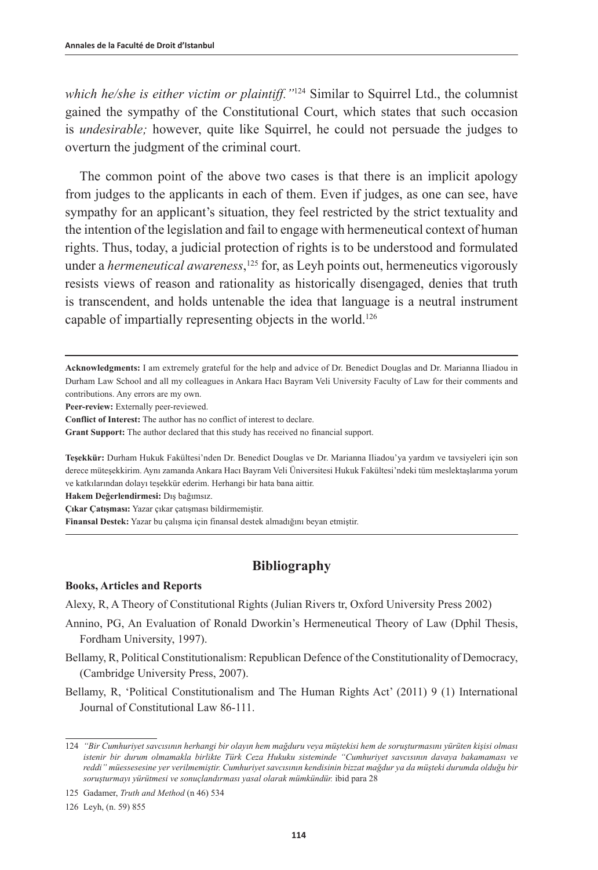*which he/she is either victim or plaintiff."*<sup>124</sup> Similar to Squirrel Ltd., the columnist gained the sympathy of the Constitutional Court, which states that such occasion is *undesirable;* however, quite like Squirrel, he could not persuade the judges to overturn the judgment of the criminal court.

The common point of the above two cases is that there is an implicit apology from judges to the applicants in each of them. Even if judges, as one can see, have sympathy for an applicant's situation, they feel restricted by the strict textuality and the intention of the legislation and fail to engage with hermeneutical context of human rights. Thus, today, a judicial protection of rights is to be understood and formulated under a *hermeneutical awareness*, 125 for, as Leyh points out, hermeneutics vigorously resists views of reason and rationality as historically disengaged, denies that truth is transcendent, and holds untenable the idea that language is a neutral instrument capable of impartially representing objects in the world.126

**Acknowledgments:** I am extremely grateful for the help and advice of Dr. Benedict Douglas and Dr. Marianna Iliadou in Durham Law School and all my colleagues in Ankara Hacı Bayram Veli University Faculty of Law for their comments and contributions. Any errors are my own.

**Peer-review:** Externally peer-reviewed.

**Conflict of Interest:** The author has no conflict of interest to declare.

**Grant Support:** The author declared that this study has received no financial support.

**Teşekkür:** Durham Hukuk Fakültesi'nden Dr. Benedict Douglas ve Dr. Marianna Iliadou'ya yardım ve tavsiyeleri için son derece müteşekkirim. Aynı zamanda Ankara Hacı Bayram Veli Üniversitesi Hukuk Fakültesi'ndeki tüm meslektaşlarıma yorum ve katkılarından dolayı teşekkür ederim. Herhangi bir hata bana aittir.

**Hakem Değerlendirmesi:** Dış bağımsız.

**Çıkar Çatışması:** Yazar çıkar çatışması bildirmemiştir.

**Finansal Destek:** Yazar bu çalışma için finansal destek almadığını beyan etmiştir.

## **Bibliography**

#### **Books, Articles and Reports**

Alexy, R, A Theory of Constitutional Rights (Julian Rivers tr, Oxford University Press 2002)

- Annino, PG, An Evaluation of Ronald Dworkin's Hermeneutical Theory of Law (Dphil Thesis, Fordham University, 1997).
- Bellamy, R, Political Constitutionalism: Republican Defence of the Constitutionality of Democracy, (Cambridge University Press, 2007).
- Bellamy, R, 'Political Constitutionalism and The Human Rights Act' (2011) 9 (1) International Journal of Constitutional Law 86-111.

<sup>124</sup> *"Bir Cumhuriyet savcısının herhangi bir olayın hem mağduru veya müştekisi hem de soruşturmasını yürüten kişisi olması istenir bir durum olmamakla birlikte Türk Ceza Hukuku sisteminde "Cumhuriyet savcısının davaya bakamaması ve reddi" müessesesine yer verilmemiştir. Cumhuriyet savcısının kendisinin bizzat mağdur ya da müşteki durumda olduğu bir soruşturmayı yürütmesi ve sonuçlandırması yasal olarak mümkündür.* ibid para 28

<sup>125</sup> Gadamer, *Truth and Method* (n 46) 534

<sup>126</sup> Leyh, (n. 59) 855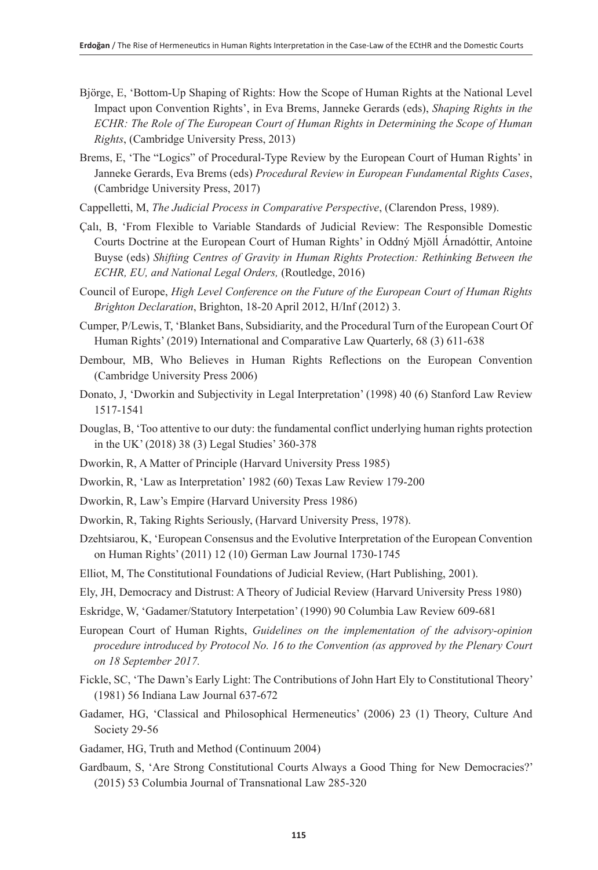- Björge, E, 'Bottom-Up Shaping of Rights: How the Scope of Human Rights at the National Level Impact upon Convention Rights', in Eva Brems, Janneke Gerards (eds), *Shaping Rights in the ECHR: The Role of The European Court of Human Rights in Determining the Scope of Human Rights*, (Cambridge University Press, 2013)
- Brems, E, 'The "Logics" of Procedural-Type Review by the European Court of Human Rights' in Janneke Gerards, Eva Brems (eds) *Procedural Review in European Fundamental Rights Cases*, (Cambridge University Press, 2017)
- Cappelletti, M, *The Judicial Process in Comparative Perspective*, (Clarendon Press, 1989).
- Çalı, B, 'From Flexible to Variable Standards of Judicial Review: The Responsible Domestic Courts Doctrine at the European Court of Human Rights' in Oddný Mjöll Árnadóttir, Antoine Buyse (eds) *Shifting Centres of Gravity in Human Rights Protection: Rethinking Between the ECHR, EU, and National Legal Orders,* (Routledge, 2016)
- Council of Europe, *High Level Conference on the Future of the European Court of Human Rights Brighton Declaration*, Brighton, 18-20 April 2012, H/Inf (2012) 3.
- Cumper, P/Lewis, T, 'Blanket Bans, Subsidiarity, and the Procedural Turn of the European Court Of Human Rights' (2019) International and Comparative Law Quarterly, 68 (3) 611-638
- Dembour, MB, Who Believes in Human Rights Reflections on the European Convention (Cambridge University Press 2006)
- Donato, J, 'Dworkin and Subjectivity in Legal Interpretation' (1998) 40 (6) Stanford Law Review 1517-1541
- Douglas, B, 'Too attentive to our duty: the fundamental conflict underlying human rights protection in the UK' (2018) 38 (3) Legal Studies' 360-378
- Dworkin, R, A Matter of Principle (Harvard University Press 1985)
- Dworkin, R, 'Law as Interpretation' 1982 (60) Texas Law Review 179-200
- Dworkin, R, Law's Empire (Harvard University Press 1986)
- Dworkin, R, Taking Rights Seriously, (Harvard University Press, 1978).
- Dzehtsiarou, K, 'European Consensus and the Evolutive Interpretation of the European Convention on Human Rights' (2011) 12 (10) German Law Journal 1730-1745

Elliot, M, The Constitutional Foundations of Judicial Review, (Hart Publishing, 2001).

- Ely, JH, Democracy and Distrust: A Theory of Judicial Review (Harvard University Press 1980)
- Eskridge, W, 'Gadamer/Statutory Interpetation' (1990) 90 Columbia Law Review 609-681
- European Court of Human Rights, *Guidelines on the implementation of the advisory-opinion procedure introduced by Protocol No. 16 to the Convention (as approved by the Plenary Court on 18 September 2017.*
- Fickle, SC, 'The Dawn's Early Light: The Contributions of John Hart Ely to Constitutional Theory' (1981) 56 Indiana Law Journal 637-672
- Gadamer, HG, 'Classical and Philosophical Hermeneutics' (2006) 23 (1) Theory, Culture And Society 29-56
- Gadamer, HG, Truth and Method (Continuum 2004)
- Gardbaum, S, 'Are Strong Constitutional Courts Always a Good Thing for New Democracies?' (2015) 53 Columbia Journal of Transnational Law 285-320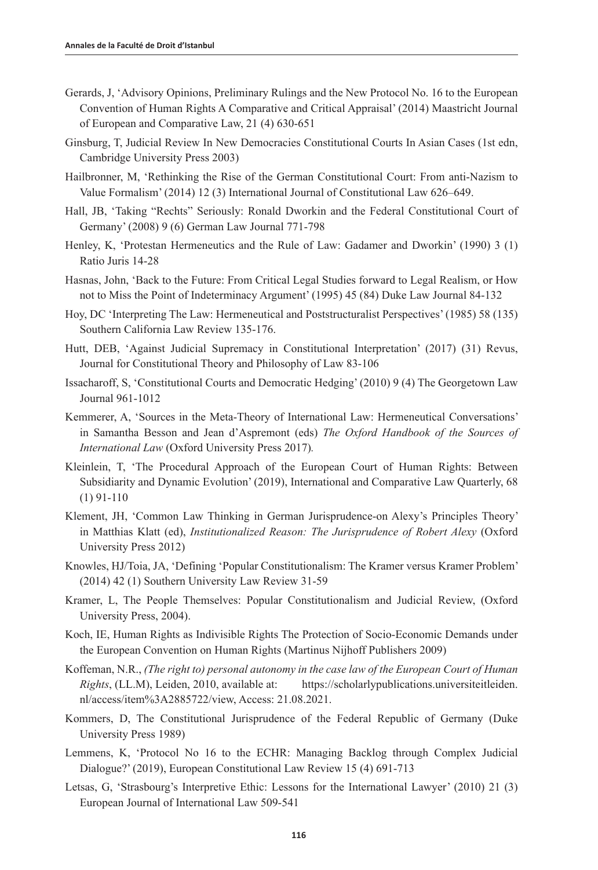- Gerards, J, 'Advisory Opinions, Preliminary Rulings and the New Protocol No. 16 to the European Convention of Human Rights A Comparative and Critical Appraisal' (2014) Maastricht Journal of European and Comparative Law, 21 (4) 630-651
- Ginsburg, T, Judicial Review In New Democracies Constitutional Courts In Asian Cases (1st edn, Cambridge University Press 2003)
- Hailbronner, M, 'Rethinking the Rise of the German Constitutional Court: From anti-Nazism to Value Formalism' (2014) 12 (3) International Journal of Constitutional Law 626–649.
- Hall, JB, 'Taking "Rechts" Seriously: Ronald Dworkin and the Federal Constitutional Court of Germany' (2008) 9 (6) German Law Journal 771-798
- Henley, K, 'Protestan Hermeneutics and the Rule of Law: Gadamer and Dworkin' (1990) 3 (1) Ratio Juris 14-28
- Hasnas, John, 'Back to the Future: From Critical Legal Studies forward to Legal Realism, or How not to Miss the Point of Indeterminacy Argument' (1995) 45 (84) Duke Law Journal 84-132
- Hoy, DC 'Interpreting The Law: Hermeneutical and Poststructuralist Perspectives' (1985) 58 (135) Southern California Law Review 135-176.
- Hutt, DEB, 'Against Judicial Supremacy in Constitutional Interpretation' (2017) (31) Revus, Journal for Constitutional Theory and Philosophy of Law 83-106
- Issacharoff, S, 'Constitutional Courts and Democratic Hedging' (2010) 9 (4) The Georgetown Law Journal 961-1012
- Kemmerer, A, 'Sources in the Meta-Theory of International Law: Hermeneutical Conversations' in Samantha Besson and Jean d'Aspremont (eds) *[The Oxford Handbook of the Sources of](https://www.oxfordhandbooks.com/view/10.1093/law/9780198745365.001.0001/law-9780198745365) [International Law](https://www.oxfordhandbooks.com/view/10.1093/law/9780198745365.001.0001/law-9780198745365)* (Oxford University Press 2017)*.*
- Kleinlein, T, 'The Procedural Approach of the European Court of Human Rights: Between Subsidiarity and Dynamic Evolution' (2019), International and Comparative Law Quarterly, 68 (1) 91-110
- Klement, JH, 'Common Law Thinking in German Jurisprudence-on Alexy's Principles Theory' in Matthias Klatt (ed), *Institutionalized Reason: The Jurisprudence of Robert Alexy* (Oxford University Press 2012)
- Knowles, HJ/Toia, JA, 'Defining 'Popular Constitutionalism: The Kramer versus Kramer Problem' (2014) 42 (1) Southern University Law Review 31-59
- Kramer, L, The People Themselves: Popular Constitutionalism and Judicial Review, (Oxford University Press, 2004).
- Koch, IE, Human Rights as Indivisible Rights The Protection of Socio-Economic Demands under the European Convention on Human Rights (Martinus Nijhoff Publishers 2009)
- Koffeman, N.R., *(The right to) personal autonomy in the case law of the European Court of Human Rights*, (LL.M), Leiden, 2010, available at: [https://scholarlypublications.universiteitleiden.](https://scholarlypublications.universiteitleiden.nl/access/item%3A2885722/view) [nl/access/item%3A2885722/view,](https://scholarlypublications.universiteitleiden.nl/access/item%3A2885722/view) Access: 21.08.2021.
- Kommers, D, The Constitutional Jurisprudence of the Federal Republic of Germany (Duke University Press 1989)
- Lemmens, K, 'Protocol No 16 to the ECHR: Managing Backlog through Complex Judicial Dialogue?' (2019), European Constitutional Law Review 15 (4) 691-713
- Letsas, G, 'Strasbourg's Interpretive Ethic: Lessons for the International Lawyer' (2010) 21 (3) European Journal of International Law 509-541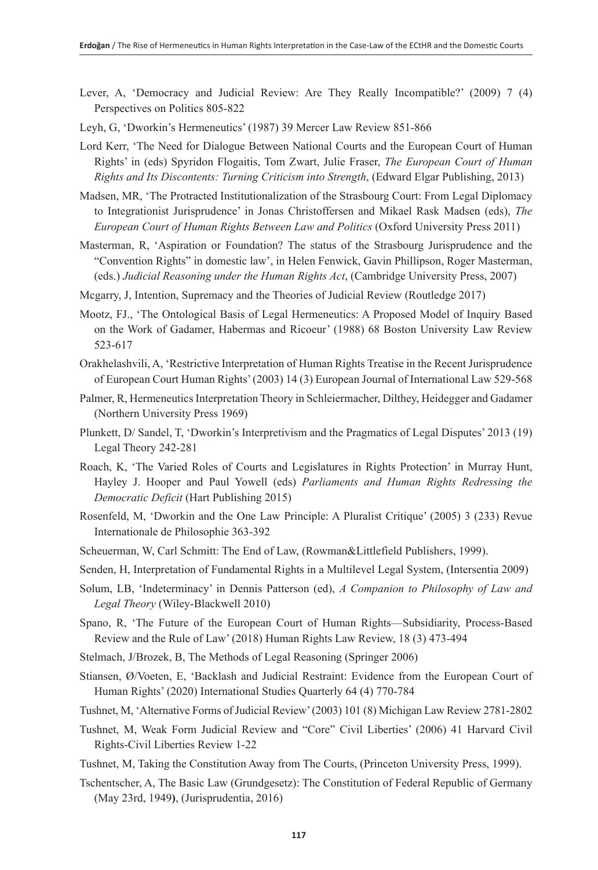- Lever, A, 'Democracy and Judicial Review: Are They Really Incompatible?' (2009) 7 (4) Perspectives on Politics 805-822
- Leyh, G, 'Dworkin's Hermeneutics' (1987) 39 Mercer Law Review 851-866
- Lord Kerr, 'The Need for Dialogue Between National Courts and the European Court of Human Rights' in (eds) Spyridon Flogaitis, Tom Zwart, Julie Fraser, *The European Court of Human Rights and Its Discontents: Turning Criticism into Strength*, (Edward Elgar Publishing, 2013)
- Madsen, MR, 'The Protracted Institutionalization of the Strasbourg Court: From Legal Diplomacy to Integrationist Jurisprudence' in Jonas Christoffersen and Mikael Rask Madsen (eds), *The European Court of Human Rights Between Law and Politics* (Oxford University Press 2011)
- Masterman, R, 'Aspiration or Foundation? The status of the Strasbourg Jurisprudence and the "Convention Rights" in domestic law', in Helen Fenwick, Gavin Phillipson, Roger Masterman, (eds.) *Judicial Reasoning under the Human Rights Act*, (Cambridge University Press, 2007)
- Mcgarry, J, Intention, Supremacy and the Theories of Judicial Review (Routledge 2017)
- Mootz, FJ., 'The Ontological Basis of Legal Hermeneutics: A Proposed Model of Inquiry Based on the Work of Gadamer, Habermas and Ricoeur' (1988) 68 Boston University Law Review 523-617
- Orakhelashvili, A, 'Restrictive Interpretation of Human Rights Treatise in the Recent Jurisprudence of European Court Human Rights' (2003) 14 (3) European Journal of International Law 529-568
- Palmer, R, Hermeneutics Interpretation Theory in Schleiermacher, Dilthey, Heidegger and Gadamer (Northern University Press 1969)
- Plunkett, D/ Sandel, T, 'Dworkin's Interpretivism and the Pragmatics of Legal Disputes' 2013 (19) Legal Theory 242-281
- Roach, K, 'The Varied Roles of Courts and Legislatures in Rights Protection' in Murray Hunt, Hayley J. Hooper and Paul Yowell (eds) *Parliaments and Human Rights Redressing the Democratic Deficit* (Hart Publishing 2015)
- Rosenfeld, M, 'Dworkin and the One Law Principle: A Pluralist Critique' (2005) 3 (233) Revue Internationale de Philosophie 363-392
- Scheuerman, W, Carl Schmitt: The End of Law, (Rowman&Littlefield Publishers, 1999).
- Senden, H, Interpretation of Fundamental Rights in a Multilevel Legal System, (Intersentia 2009)
- Solum, LB, 'Indeterminacy' in Dennis Patterson (ed), *A Companion to Philosophy of Law and Legal Theory* (Wiley-Blackwell 2010)
- Spano, R, 'The Future of the European Court of Human Rights—Subsidiarity, Process-Based Review and the Rule of Law' (2018) Human Rights Law Review, 18 (3) 473-494
- Stelmach, J/Brozek, B, The Methods of Legal Reasoning (Springer 2006)
- Stiansen, Ø/Voeten, E, 'Backlash and Judicial Restraint: Evidence from the European Court of Human Rights' (2020) International Studies Quarterly 64 (4) 770-784
- Tushnet, M, 'Alternative Forms of Judicial Review' (2003) 101 (8) Michigan Law Review 2781-2802
- Tushnet, M, Weak Form Judicial Review and "Core" Civil Liberties' (2006) 41 Harvard Civil Rights-Civil Liberties Review 1-22
- Tushnet, M, Taking the Constitution Away from The Courts, (Princeton University Press, 1999).
- Tschentscher, A, The Basic Law (Grundgesetz): The Constitution of Federal Republic of Germany (May 23rd, 1949**)**, (Jurisprudentia, 2016)